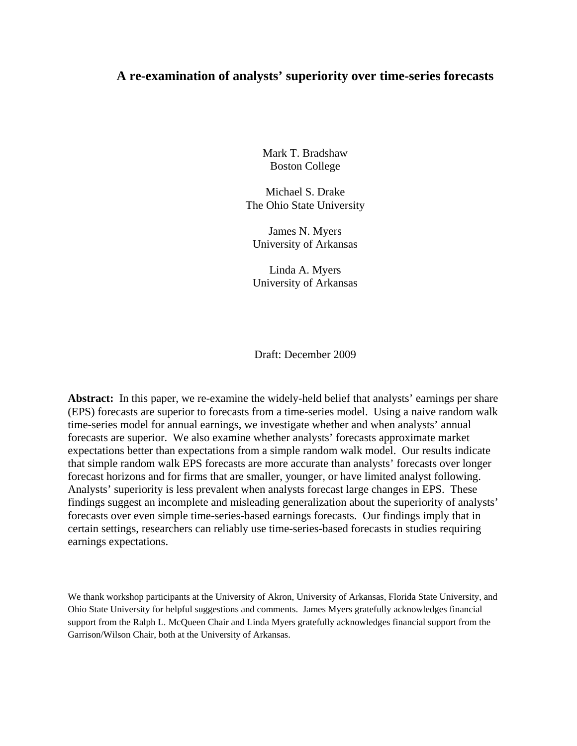# **A re-examination of analysts' superiority over time-series forecasts**

Mark T. Bradshaw Boston College

Michael S. Drake The Ohio State University

James N. Myers University of Arkansas

Linda A. Myers University of Arkansas

Draft: December 2009

**Abstract:** In this paper, we re-examine the widely-held belief that analysts' earnings per share (EPS) forecasts are superior to forecasts from a time-series model. Using a naive random walk time-series model for annual earnings, we investigate whether and when analysts' annual forecasts are superior. We also examine whether analysts' forecasts approximate market expectations better than expectations from a simple random walk model. Our results indicate that simple random walk EPS forecasts are more accurate than analysts' forecasts over longer forecast horizons and for firms that are smaller, younger, or have limited analyst following. Analysts' superiority is less prevalent when analysts forecast large changes in EPS. These findings suggest an incomplete and misleading generalization about the superiority of analysts' forecasts over even simple time-series-based earnings forecasts. Our findings imply that in certain settings, researchers can reliably use time-series-based forecasts in studies requiring earnings expectations.

We thank workshop participants at the University of Akron, University of Arkansas, Florida State University, and Ohio State University for helpful suggestions and comments. James Myers gratefully acknowledges financial support from the Ralph L. McQueen Chair and Linda Myers gratefully acknowledges financial support from the Garrison/Wilson Chair, both at the University of Arkansas.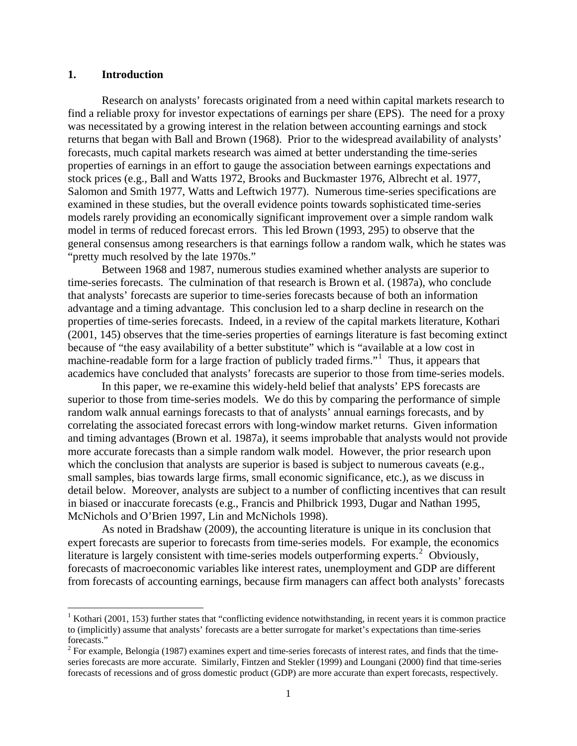### **1. Introduction**

Research on analysts' forecasts originated from a need within capital markets research to find a reliable proxy for investor expectations of earnings per share (EPS). The need for a proxy was necessitated by a growing interest in the relation between accounting earnings and stock returns that began with Ball and Brown (1968). Prior to the widespread availability of analysts' forecasts, much capital markets research was aimed at better understanding the time-series properties of earnings in an effort to gauge the association between earnings expectations and stock prices (e.g., Ball and Watts 1972, Brooks and Buckmaster 1976, Albrecht et al. 1977, Salomon and Smith 1977, Watts and Leftwich 1977). Numerous time-series specifications are examined in these studies, but the overall evidence points towards sophisticated time-series models rarely providing an economically significant improvement over a simple random walk model in terms of reduced forecast errors. This led Brown (1993, 295) to observe that the general consensus among researchers is that earnings follow a random walk, which he states was "pretty much resolved by the late 1970s."

Between 1968 and 1987, numerous studies examined whether analysts are superior to time-series forecasts. The culmination of that research is Brown et al. (1987a), who conclude that analysts' forecasts are superior to time-series forecasts because of both an information advantage and a timing advantage. This conclusion led to a sharp decline in research on the properties of time-series forecasts. Indeed, in a review of the capital markets literature, Kothari (2001, 145) observes that the time-series properties of earnings literature is fast becoming extinct because of "the easy availability of a better substitute" which is "available at a low cost in machine-readable form for a large fraction of publicly traded firms."<sup>[1](#page-1-0)</sup> Thus, it appears that academics have concluded that analysts' forecasts are superior to those from time-series models.

In this paper, we re-examine this widely-held belief that analysts' EPS forecasts are superior to those from time-series models. We do this by comparing the performance of simple random walk annual earnings forecasts to that of analysts' annual earnings forecasts, and by correlating the associated forecast errors with long-window market returns. Given information and timing advantages (Brown et al. 1987a), it seems improbable that analysts would not provide more accurate forecasts than a simple random walk model. However, the prior research upon which the conclusion that analysts are superior is based is subject to numerous caveats (e.g., small samples, bias towards large firms, small economic significance, etc.), as we discuss in detail below. Moreover, analysts are subject to a number of conflicting incentives that can result in biased or inaccurate forecasts (e.g., Francis and Philbrick 1993, Dugar and Nathan 1995, McNichols and O'Brien 1997, Lin and McNichols 1998).

As noted in Bradshaw (2009), the accounting literature is unique in its conclusion that expert forecasts are superior to forecasts from time-series models. For example, the economics literature is largely consistent with time-series models outperforming experts.<sup>[2](#page-1-1)</sup> Obviously, forecasts of macroeconomic variables like interest rates, unemployment and GDP are different from forecasts of accounting earnings, because firm managers can affect both analysts' forecasts

<span id="page-1-0"></span><sup>&</sup>lt;sup>1</sup> Kothari (2001, 153) further states that "conflicting evidence notwithstanding, in recent years it is common practice to (implicitly) assume that analysts' forecasts are a better surrogate for market's expectations than time-series forecasts."

<span id="page-1-1"></span> $2^2$  For example, Belongia (1987) examines expert and time-series forecasts of interest rates, and finds that the timeseries forecasts are more accurate. Similarly, Fintzen and Stekler (1999) and Loungani (2000) find that time-series forecasts of recessions and of gross domestic product (GDP) are more accurate than expert forecasts, respectively.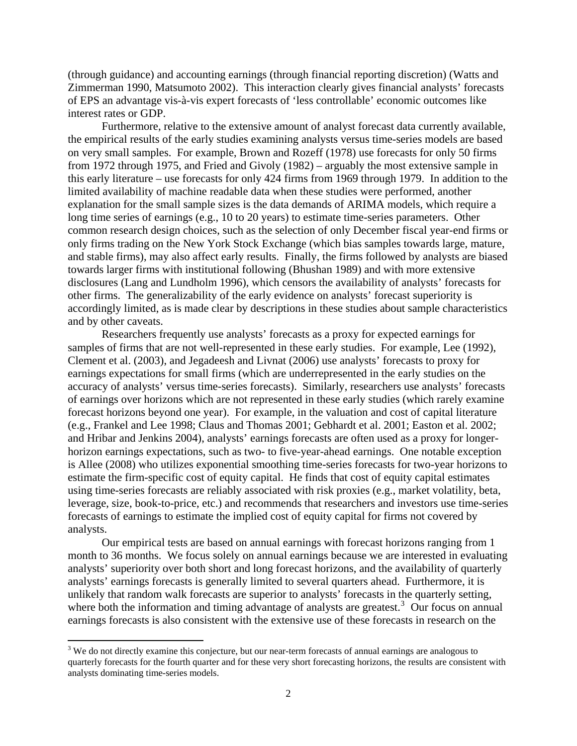(through guidance) and accounting earnings (through financial reporting discretion) (Watts and Zimmerman 1990, Matsumoto 2002). This interaction clearly gives financial analysts' forecasts of EPS an advantage vis-à-vis expert forecasts of 'less controllable' economic outcomes like interest rates or GDP.

Furthermore, relative to the extensive amount of analyst forecast data currently available, the empirical results of the early studies examining analysts versus time-series models are based on very small samples. For example, Brown and Rozeff (1978) use forecasts for only 50 firms from 1972 through 1975, and Fried and Givoly (1982) – arguably the most extensive sample in this early literature – use forecasts for only 424 firms from 1969 through 1979. In addition to the limited availability of machine readable data when these studies were performed, another explanation for the small sample sizes is the data demands of ARIMA models, which require a long time series of earnings (e.g., 10 to 20 years) to estimate time-series parameters. Other common research design choices, such as the selection of only December fiscal year-end firms or only firms trading on the New York Stock Exchange (which bias samples towards large, mature, and stable firms), may also affect early results. Finally, the firms followed by analysts are biased towards larger firms with institutional following (Bhushan 1989) and with more extensive disclosures (Lang and Lundholm 1996), which censors the availability of analysts' forecasts for other firms. The generalizability of the early evidence on analysts' forecast superiority is accordingly limited, as is made clear by descriptions in these studies about sample characteristics and by other caveats.

Researchers frequently use analysts' forecasts as a proxy for expected earnings for samples of firms that are not well-represented in these early studies. For example, Lee (1992), Clement et al. (2003), and Jegadeesh and Livnat (2006) use analysts' forecasts to proxy for earnings expectations for small firms (which are underrepresented in the early studies on the accuracy of analysts' versus time-series forecasts). Similarly, researchers use analysts' forecasts of earnings over horizons which are not represented in these early studies (which rarely examine forecast horizons beyond one year). For example, in the valuation and cost of capital literature (e.g., Frankel and Lee 1998; Claus and Thomas 2001; Gebhardt et al. 2001; Easton et al. 2002; and Hribar and Jenkins 2004), analysts' earnings forecasts are often used as a proxy for longerhorizon earnings expectations, such as two- to five-year-ahead earnings. One notable exception is Allee (2008) who utilizes exponential smoothing time-series forecasts for two-year horizons to estimate the firm-specific cost of equity capital. He finds that cost of equity capital estimates using time-series forecasts are reliably associated with risk proxies (e.g., market volatility, beta, leverage, size, book-to-price, etc.) and recommends that researchers and investors use time-series forecasts of earnings to estimate the implied cost of equity capital for firms not covered by analysts.

Our empirical tests are based on annual earnings with forecast horizons ranging from 1 month to 36 months. We focus solely on annual earnings because we are interested in evaluating analysts' superiority over both short and long forecast horizons, and the availability of quarterly analysts' earnings forecasts is generally limited to several quarters ahead. Furthermore, it is unlikely that random walk forecasts are superior to analysts' forecasts in the quarterly setting, where both the information and timing advantage of analysts are greatest. $3$  Our focus on annual earnings forecasts is also consistent with the extensive use of these forecasts in research on the

<span id="page-2-0"></span><sup>&</sup>lt;sup>3</sup> We do not directly examine this conjecture, but our near-term forecasts of annual earnings are analogous to quarterly forecasts for the fourth quarter and for these very short forecasting horizons, the results are consistent with analysts dominating time-series models.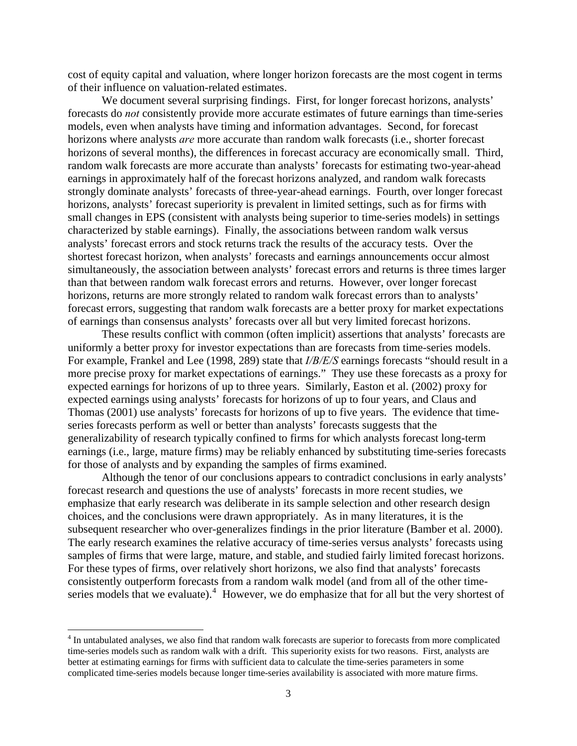cost of equity capital and valuation, where longer horizon forecasts are the most cogent in terms of their influence on valuation-related estimates.

We document several surprising findings. First, for longer forecast horizons, analysts' forecasts do *not* consistently provide more accurate estimates of future earnings than time-series models, even when analysts have timing and information advantages. Second, for forecast horizons where analysts *are* more accurate than random walk forecasts (i.e., shorter forecast horizons of several months), the differences in forecast accuracy are economically small. Third, random walk forecasts are more accurate than analysts' forecasts for estimating two-year-ahead earnings in approximately half of the forecast horizons analyzed, and random walk forecasts strongly dominate analysts' forecasts of three-year-ahead earnings. Fourth, over longer forecast horizons, analysts' forecast superiority is prevalent in limited settings, such as for firms with small changes in EPS (consistent with analysts being superior to time-series models) in settings characterized by stable earnings). Finally, the associations between random walk versus analysts' forecast errors and stock returns track the results of the accuracy tests. Over the shortest forecast horizon, when analysts' forecasts and earnings announcements occur almost simultaneously, the association between analysts' forecast errors and returns is three times larger than that between random walk forecast errors and returns. However, over longer forecast horizons, returns are more strongly related to random walk forecast errors than to analysts' forecast errors, suggesting that random walk forecasts are a better proxy for market expectations of earnings than consensus analysts' forecasts over all but very limited forecast horizons.

These results conflict with common (often implicit) assertions that analysts' forecasts are uniformly a better proxy for investor expectations than are forecasts from time-series models. For example, Frankel and Lee (1998, 289) state that *I/B/E/S* earnings forecasts "should result in a more precise proxy for market expectations of earnings." They use these forecasts as a proxy for expected earnings for horizons of up to three years. Similarly, Easton et al. (2002) proxy for expected earnings using analysts' forecasts for horizons of up to four years, and Claus and Thomas (2001) use analysts' forecasts for horizons of up to five years. The evidence that timeseries forecasts perform as well or better than analysts' forecasts suggests that the generalizability of research typically confined to firms for which analysts forecast long-term earnings (i.e., large, mature firms) may be reliably enhanced by substituting time-series forecasts for those of analysts and by expanding the samples of firms examined.

Although the tenor of our conclusions appears to contradict conclusions in early analysts' forecast research and questions the use of analysts' forecasts in more recent studies, we emphasize that early research was deliberate in its sample selection and other research design choices, and the conclusions were drawn appropriately. As in many literatures, it is the subsequent researcher who over-generalizes findings in the prior literature (Bamber et al. 2000). The early research examines the relative accuracy of time-series versus analysts' forecasts using samples of firms that were large, mature, and stable, and studied fairly limited forecast horizons. For these types of firms, over relatively short horizons, we also find that analysts' forecasts consistently outperform forecasts from a random walk model (and from all of the other time-series models that we evaluate).<sup>[4](#page-3-0)</sup> However, we do emphasize that for all but the very shortest of

<span id="page-3-0"></span><sup>&</sup>lt;sup>4</sup> In untabulated analyses, we also find that random walk forecasts are superior to forecasts from more complicated time-series models such as random walk with a drift. This superiority exists for two reasons. First, analysts are better at estimating earnings for firms with sufficient data to calculate the time-series parameters in some complicated time-series models because longer time-series availability is associated with more mature firms.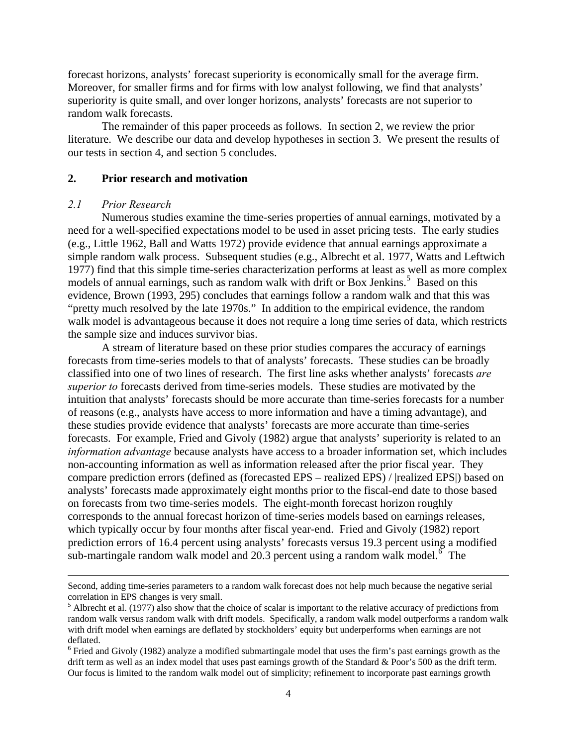forecast horizons, analysts' forecast superiority is economically small for the average firm. Moreover, for smaller firms and for firms with low analyst following, we find that analysts' superiority is quite small, and over longer horizons, analysts' forecasts are not superior to random walk forecasts.

The remainder of this paper proceeds as follows. In section 2, we review the prior literature. We describe our data and develop hypotheses in section 3. We present the results of our tests in section 4, and section 5 concludes.

## **2. Prior research and motivation**

#### *2.1 Prior Research*

 Numerous studies examine the time-series properties of annual earnings, motivated by a need for a well-specified expectations model to be used in asset pricing tests. The early studies (e.g., Little 1962, Ball and Watts 1972) provide evidence that annual earnings approximate a simple random walk process. Subsequent studies (e.g., Albrecht et al. 1977, Watts and Leftwich 1977) find that this simple time-series characterization performs at least as well as more complex models of annual earnings, such as random walk with drift or Box Jenkins.<sup>[5](#page-4-0)</sup> Based on this evidence, Brown (1993, 295) concludes that earnings follow a random walk and that this was "pretty much resolved by the late 1970s." In addition to the empirical evidence, the random walk model is advantageous because it does not require a long time series of data, which restricts the sample size and induces survivor bias.

 A stream of literature based on these prior studies compares the accuracy of earnings forecasts from time-series models to that of analysts' forecasts. These studies can be broadly classified into one of two lines of research. The first line asks whether analysts' forecasts *are superior to* forecasts derived from time-series models. These studies are motivated by the intuition that analysts' forecasts should be more accurate than time-series forecasts for a number of reasons (e.g., analysts have access to more information and have a timing advantage), and these studies provide evidence that analysts' forecasts are more accurate than time-series forecasts. For example, Fried and Givoly (1982) argue that analysts' superiority is related to an *information advantage* because analysts have access to a broader information set, which includes non-accounting information as well as information released after the prior fiscal year. They compare prediction errors (defined as (forecasted EPS – realized EPS) / |realized EPS|) based on analysts' forecasts made approximately eight months prior to the fiscal-end date to those based on forecasts from two time-series models. The eight-month forecast horizon roughly corresponds to the annual forecast horizon of time-series models based on earnings releases, which typically occur by four months after fiscal year-end. Fried and Givoly (1982) report prediction errors of 16.4 percent using analysts' forecasts versus 19.3 percent using a modified sub-martingale random walk model and 20.3 percent using a random walk model.<sup>[6](#page-4-1)</sup> The

<u> 1989 - Johann Stein, marwolaethau a gweledydd a ganlad y ganlad y ganlad y ganlad y ganlad y ganlad y ganlad</u>

Second, adding time-series parameters to a random walk forecast does not help much because the negative serial correlation in EPS changes is very small.

<span id="page-4-0"></span> $<sup>5</sup>$  Albrecht et al. (1977) also show that the choice of scalar is important to the relative accuracy of predictions from</sup> random walk versus random walk with drift models. Specifically, a random walk model outperforms a random walk with drift model when earnings are deflated by stockholders' equity but underperforms when earnings are not deflated.

<span id="page-4-1"></span><sup>&</sup>lt;sup>6</sup> Fried and Givoly (1982) analyze a modified submartingale model that uses the firm's past earnings growth as the drift term as well as an index model that uses past earnings growth of the Standard & Poor's 500 as the drift term. Our focus is limited to the random walk model out of simplicity; refinement to incorporate past earnings growth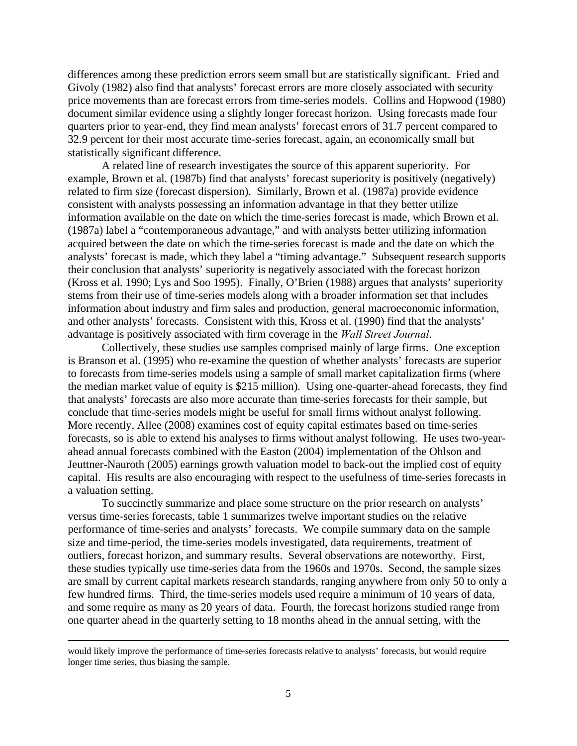differences among these prediction errors seem small but are statistically significant. Fried and Givoly (1982) also find that analysts' forecast errors are more closely associated with security price movements than are forecast errors from time-series models. Collins and Hopwood (1980) document similar evidence using a slightly longer forecast horizon. Using forecasts made four quarters prior to year-end, they find mean analysts' forecast errors of 31.7 percent compared to 32.9 percent for their most accurate time-series forecast, again, an economically small but statistically significant difference.

 A related line of research investigates the source of this apparent superiority. For example, Brown et al. (1987b) find that analysts' forecast superiority is positively (negatively) related to firm size (forecast dispersion). Similarly, Brown et al. (1987a) provide evidence consistent with analysts possessing an information advantage in that they better utilize information available on the date on which the time-series forecast is made, which Brown et al. (1987a) label a "contemporaneous advantage," and with analysts better utilizing information acquired between the date on which the time-series forecast is made and the date on which the analysts' forecast is made, which they label a "timing advantage." Subsequent research supports their conclusion that analysts' superiority is negatively associated with the forecast horizon (Kross et al. 1990; Lys and Soo 1995). Finally, O'Brien (1988) argues that analysts' superiority stems from their use of time-series models along with a broader information set that includes information about industry and firm sales and production, general macroeconomic information, and other analysts' forecasts. Consistent with this, Kross et al. (1990) find that the analysts' advantage is positively associated with firm coverage in the *Wall Street Journal*.

 Collectively, these studies use samples comprised mainly of large firms. One exception is Branson et al. (1995) who re-examine the question of whether analysts' forecasts are superior to forecasts from time-series models using a sample of small market capitalization firms (where the median market value of equity is \$215 million). Using one-quarter-ahead forecasts, they find that analysts' forecasts are also more accurate than time-series forecasts for their sample, but conclude that time-series models might be useful for small firms without analyst following. More recently, Allee (2008) examines cost of equity capital estimates based on time-series forecasts, so is able to extend his analyses to firms without analyst following. He uses two-yearahead annual forecasts combined with the Easton (2004) implementation of the Ohlson and Jeuttner-Nauroth (2005) earnings growth valuation model to back-out the implied cost of equity capital. His results are also encouraging with respect to the usefulness of time-series forecasts in a valuation setting.

To succinctly summarize and place some structure on the prior research on analysts' versus time-series forecasts, table 1 summarizes twelve important studies on the relative performance of time-series and analysts' forecasts. We compile summary data on the sample size and time-period, the time-series models investigated, data requirements, treatment of outliers, forecast horizon, and summary results. Several observations are noteworthy. First, these studies typically use time-series data from the 1960s and 1970s. Second, the sample sizes are small by current capital markets research standards, ranging anywhere from only 50 to only a few hundred firms. Third, the time-series models used require a minimum of 10 years of data, and some require as many as 20 years of data. Fourth, the forecast horizons studied range from one quarter ahead in the quarterly setting to 18 months ahead in the annual setting, with the

<u> 1989 - Johann Stein, marwolaethau a gweledydd a ganlad y ganlad y ganlad y ganlad y ganlad y ganlad y ganlad</u>

would likely improve the performance of time-series forecasts relative to analysts' forecasts, but would require longer time series, thus biasing the sample.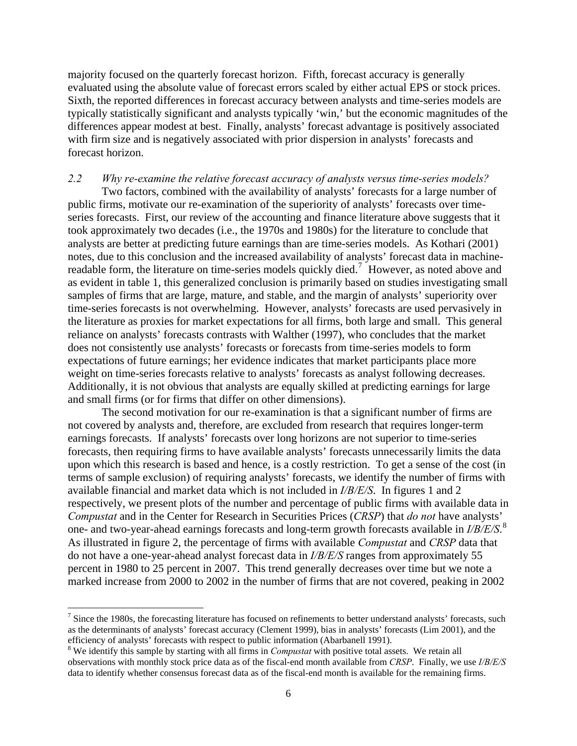<span id="page-6-0"></span>majority focused on the quarterly forecast horizon. Fifth, forecast accuracy is generally evaluated using the absolute value of forecast errors scaled by either actual EPS or stock prices. Sixth, the reported differences in forecast accuracy between analysts and time-series models are typically statistically significant and analysts typically 'win,' but the economic magnitudes of the differences appear modest at best. Finally, analysts' forecast advantage is positively associated with firm size and is negatively associated with prior dispersion in analysts' forecasts and forecast horizon.

## *2.2 Why re-examine the relative forecast accuracy of analysts versus time-series models?*

 Two factors, combined with the availability of analysts' forecasts for a large number of public firms, motivate our re-examination of the superiority of analysts' forecasts over timeseries forecasts. First, our review of the accounting and finance literature above suggests that it took approximately two decades (i.e., the 1970s and 1980s) for the literature to conclude that analysts are better at predicting future earnings than are time-series models. As Kothari (2001) notes, due to this conclusion and the increased availability of analysts' forecast data in machine-readable form, the literature on time-series models quickly died.<sup>[7](#page-6-0)</sup> However, as noted above and as evident in table 1, this generalized conclusion is primarily based on studies investigating small samples of firms that are large, mature, and stable, and the margin of analysts' superiority over time-series forecasts is not overwhelming. However, analysts' forecasts are used pervasively in the literature as proxies for market expectations for all firms, both large and small. This general reliance on analysts' forecasts contrasts with Walther (1997), who concludes that the market does not consistently use analysts' forecasts or forecasts from time-series models to form expectations of future earnings; her evidence indicates that market participants place more weight on time-series forecasts relative to analysts' forecasts as analyst following decreases. Additionally, it is not obvious that analysts are equally skilled at predicting earnings for large and small firms (or for firms that differ on other dimensions).

The second motivation for our re-examination is that a significant number of firms are not covered by analysts and, therefore, are excluded from research that requires longer-term earnings forecasts. If analysts' forecasts over long horizons are not superior to time-series forecasts, then requiring firms to have available analysts' forecasts unnecessarily limits the data upon which this research is based and hence, is a costly restriction. To get a sense of the cost (in terms of sample exclusion) of requiring analysts' forecasts, we identify the number of firms with available financial and market data which is not included in *I/B/E/S*. In figures 1 and 2 respectively, we present plots of the number and percentage of public firms with available data in *Compustat* and in the Center for Research in Securities Prices (*CRSP*) that *do not* have analysts' one- and two-year-ahead earnings forecasts and long-term growth forecasts available in *I/B/E/S*. [8](#page-6-0) As illustrated in figure 2, the percentage of firms with available *Compustat* and *CRSP* data that do not have a one-year-ahead analyst forecast data in *I/B/E/S* ranges from approximately 55 percent in 1980 to 25 percent in 2007. This trend generally decreases over time but we note a marked increase from 2000 to 2002 in the number of firms that are not covered, peaking in 2002

 $<sup>7</sup>$  Since the 1980s, the forecasting literature has focused on refinements to better understand analysts' forecasts, such</sup> as the determinants of analysts' forecast accuracy (Clement 1999), bias in analysts' forecasts (Lim 2001), and the efficiency of analysts' forecasts with respect to public information (Abarbanell 1991). 8

We identify this sample by starting with all firms in *Compustat* with positive total assets. We retain all observations with monthly stock price data as of the fiscal-end month available from *CRSP*. Finally, we use *I/B/E/S* data to identify whether consensus forecast data as of the fiscal-end month is available for the remaining firms.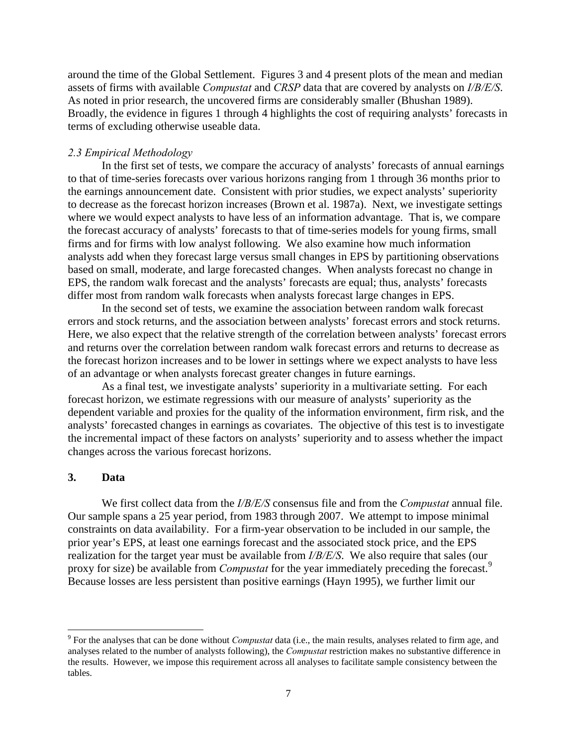<span id="page-7-0"></span>around the time of the Global Settlement. Figures 3 and 4 present plots of the mean and median assets of firms with available *Compustat* and *CRSP* data that are covered by analysts on *I/B/E/S*. As noted in prior research, the uncovered firms are considerably smaller (Bhushan 1989). Broadly, the evidence in figures 1 through 4 highlights the cost of requiring analysts' forecasts in terms of excluding otherwise useable data.

## *2.3 Empirical Methodology*

In the first set of tests, we compare the accuracy of analysts' forecasts of annual earnings to that of time-series forecasts over various horizons ranging from 1 through 36 months prior to the earnings announcement date. Consistent with prior studies, we expect analysts' superiority to decrease as the forecast horizon increases (Brown et al. 1987a). Next, we investigate settings where we would expect analysts to have less of an information advantage. That is, we compare the forecast accuracy of analysts' forecasts to that of time-series models for young firms, small firms and for firms with low analyst following. We also examine how much information analysts add when they forecast large versus small changes in EPS by partitioning observations based on small, moderate, and large forecasted changes. When analysts forecast no change in EPS, the random walk forecast and the analysts' forecasts are equal; thus, analysts' forecasts differ most from random walk forecasts when analysts forecast large changes in EPS.

In the second set of tests, we examine the association between random walk forecast errors and stock returns, and the association between analysts' forecast errors and stock returns. Here, we also expect that the relative strength of the correlation between analysts' forecast errors and returns over the correlation between random walk forecast errors and returns to decrease as the forecast horizon increases and to be lower in settings where we expect analysts to have less of an advantage or when analysts forecast greater changes in future earnings.

As a final test, we investigate analysts' superiority in a multivariate setting. For each forecast horizon, we estimate regressions with our measure of analysts' superiority as the dependent variable and proxies for the quality of the information environment, firm risk, and the analysts' forecasted changes in earnings as covariates. The objective of this test is to investigate the incremental impact of these factors on analysts' superiority and to assess whether the impact changes across the various forecast horizons.

## **3. Data**

We first collect data from the *I/B/E/S* consensus file and from the *Compustat* annual file. Our sample spans a 25 year period, from 1983 through 2007. We attempt to impose minimal constraints on data availability. For a firm-year observation to be included in our sample, the prior year's EPS, at least one earnings forecast and the associated stock price, and the EPS realization for the target year must be available from *I/B/E/S*. We also require that sales (our proxy for size) be available from *Compustat* for the year immediately preceding the forecast.<sup>[9](#page-7-0)</sup> Because losses are less persistent than positive earnings (Hayn 1995), we further limit our

<sup>9</sup> For the analyses that can be done without *Compustat* data (i.e., the main results, analyses related to firm age, and analyses related to the number of analysts following), the *Compustat* restriction makes no substantive difference in the results. However, we impose this requirement across all analyses to facilitate sample consistency between the tables.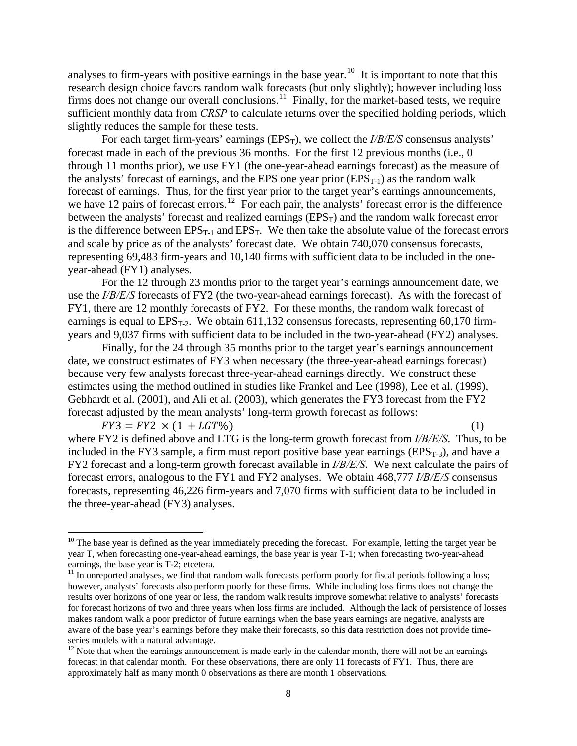<span id="page-8-0"></span>analyses to firm-years with positive earnings in the base year.<sup>[10](#page-8-0)</sup> It is important to note that this research design choice favors random walk forecasts (but only slightly); however including loss firms does not change our overall conclusions.<sup>[11](#page-8-0)</sup> Finally, for the market-based tests, we require sufficient monthly data from *CRSP* to calculate returns over the specified holding periods, which slightly reduces the sample for these tests.

For each target firm-years' earnings (EPS<sub>T</sub>), we collect the *I/B/E/S* consensus analysts' forecast made in each of the previous 36 months. For the first 12 previous months (i.e., 0 through 11 months prior), we use FY1 (the one-year-ahead earnings forecast) as the measure of the analysts' forecast of earnings, and the EPS one year prior  $(EPS_{T-1})$  as the random walk forecast of earnings. Thus, for the first year prior to the target year's earnings announcements, we have [12](#page-8-0) pairs of forecast errors.<sup>12</sup> For each pair, the analysts' forecast error is the difference between the analysts' forecast and realized earnings  $(EPS_T)$  and the random walk forecast error is the difference between  $EPS_{T-1}$  and  $EPS_T$ . We then take the absolute value of the forecast errors and scale by price as of the analysts' forecast date. We obtain 740,070 consensus forecasts, representing 69,483 firm-years and 10,140 firms with sufficient data to be included in the oneyear-ahead (FY1) analyses.

For the 12 through 23 months prior to the target year's earnings announcement date, we use the *I/B/E/S* forecasts of FY2 (the two-year-ahead earnings forecast). As with the forecast of FY1, there are 12 monthly forecasts of FY2. For these months, the random walk forecast of earnings is equal to  $EPS_{T-2}$ . We obtain 611,132 consensus forecasts, representing 60,170 firmyears and 9,037 firms with sufficient data to be included in the two-year-ahead (FY2) analyses.

Finally, for the 24 through 35 months prior to the target year's earnings announcement date, we construct estimates of FY3 when necessary (the three-year-ahead earnings forecast) because very few analysts forecast three-year-ahead earnings directly. We construct these estimates using the method outlined in studies like Frankel and Lee (1998), Lee et al. (1999), Gebhardt et al. (2001), and Ali et al. (2003), which generates the FY3 forecast from the FY2 forecast adjusted by the mean analysts' long-term growth forecast as follows:

 $FY3 = FY2 \times (1 + LGT\%)$  (1) where FY2 is defined above and LTG is the long-term growth forecast from *I/B/E/S*. Thus, to be included in the FY3 sample, a firm must report positive base year earnings ( $EPS_{T-3}$ ), and have a FY2 forecast and a long-term growth forecast available in *I/B/E/S*. We next calculate the pairs of forecast errors, analogous to the FY1 and FY2 analyses. We obtain 468,777 *I/B/E/S* consensus forecasts, representing 46,226 firm-years and 7,070 firms with sufficient data to be included in the three-year-ahead (FY3) analyses.

 $10$  The base year is defined as the year immediately preceding the forecast. For example, letting the target year be year T, when forecasting one-year-ahead earnings, the base year is year T-1; when forecasting two-year-ahead earnings, the base year is T-2; etcetera.

 $11$  In unreported analyses, we find that random walk forecasts perform poorly for fiscal periods following a loss; however, analysts' forecasts also perform poorly for these firms. While including loss firms does not change the results over horizons of one year or less, the random walk results improve somewhat relative to analysts' forecasts for forecast horizons of two and three years when loss firms are included. Although the lack of persistence of losses makes random walk a poor predictor of future earnings when the base years earnings are negative, analysts are aware of the base year's earnings before they make their forecasts, so this data restriction does not provide timeseries models with a natural advantage.

<sup>&</sup>lt;sup>12</sup> Note that when the earnings announcement is made early in the calendar month, there will not be an earnings forecast in that calendar month. For these observations, there are only 11 forecasts of FY1. Thus, there are approximately half as many month 0 observations as there are month 1 observations.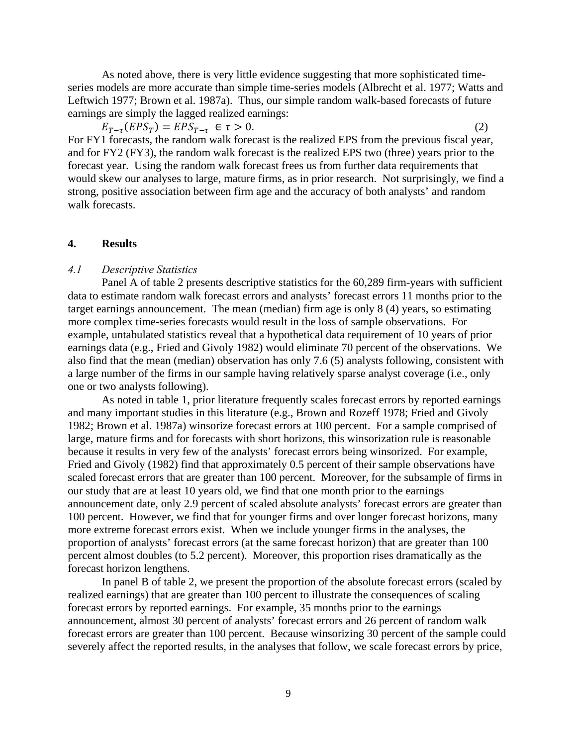As noted above, there is very little evidence suggesting that more sophisticated timeseries models are more accurate than simple time-series models (Albrecht et al. 1977; Watts and Leftwich 1977; Brown et al. 1987a). Thus, our simple random walk-based forecasts of future earnings are simply the lagged realized earnings:

 $E_{T-\tau}(EPS_T) = EPS_{T-\tau} \in \tau > 0.$  (2) For FY1 forecasts, the random walk forecast is the realized EPS from the previous fiscal year, and for FY2 (FY3), the random walk forecast is the realized EPS two (three) years prior to the forecast year. Using the random walk forecast frees us from further data requirements that would skew our analyses to large, mature firms, as in prior research. Not surprisingly, we find a strong, positive association between firm age and the accuracy of both analysts' and random walk forecasts.

## **4. Results**

# *4.1 Descriptive Statistics*

Panel A of table 2 presents descriptive statistics for the 60,289 firm-years with sufficient data to estimate random walk forecast errors and analysts' forecast errors 11 months prior to the target earnings announcement. The mean (median) firm age is only 8 (4) years, so estimating more complex time-series forecasts would result in the loss of sample observations. For example, untabulated statistics reveal that a hypothetical data requirement of 10 years of prior earnings data (e.g., Fried and Givoly 1982) would eliminate 70 percent of the observations. We also find that the mean (median) observation has only 7.6 (5) analysts following, consistent with a large number of the firms in our sample having relatively sparse analyst coverage (i.e., only one or two analysts following).

As noted in table 1, prior literature frequently scales forecast errors by reported earnings and many important studies in this literature (e.g., Brown and Rozeff 1978; Fried and Givoly 1982; Brown et al. 1987a) winsorize forecast errors at 100 percent. For a sample comprised of large, mature firms and for forecasts with short horizons, this winsorization rule is reasonable because it results in very few of the analysts' forecast errors being winsorized. For example, Fried and Givoly (1982) find that approximately 0.5 percent of their sample observations have scaled forecast errors that are greater than 100 percent. Moreover, for the subsample of firms in our study that are at least 10 years old, we find that one month prior to the earnings announcement date, only 2.9 percent of scaled absolute analysts' forecast errors are greater than 100 percent. However, we find that for younger firms and over longer forecast horizons, many more extreme forecast errors exist. When we include younger firms in the analyses, the proportion of analysts' forecast errors (at the same forecast horizon) that are greater than 100 percent almost doubles (to 5.2 percent). Moreover, this proportion rises dramatically as the forecast horizon lengthens.

In panel B of table 2, we present the proportion of the absolute forecast errors (scaled by realized earnings) that are greater than 100 percent to illustrate the consequences of scaling forecast errors by reported earnings. For example, 35 months prior to the earnings announcement, almost 30 percent of analysts' forecast errors and 26 percent of random walk forecast errors are greater than 100 percent. Because winsorizing 30 percent of the sample could severely affect the reported results, in the analyses that follow, we scale forecast errors by price,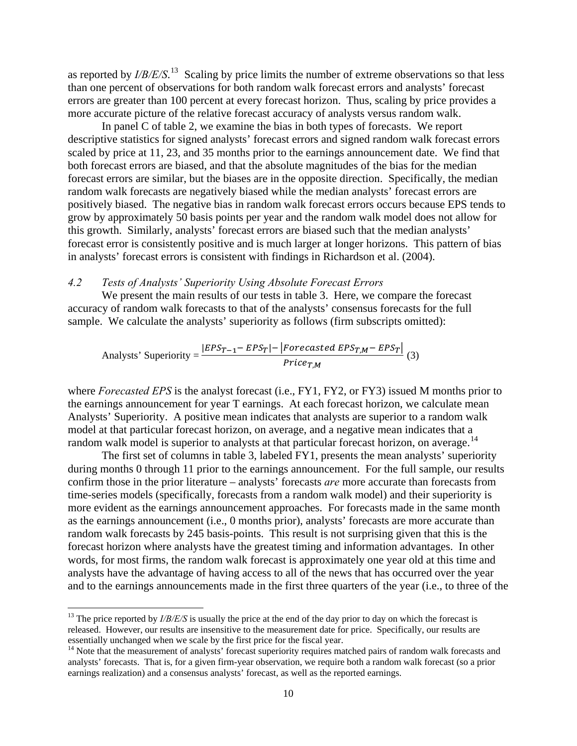<span id="page-10-0"></span>as reported by *I/B/E/S*. [13](#page-10-0) Scaling by price limits the number of extreme observations so that less than one percent of observations for both random walk forecast errors and analysts' forecast errors are greater than 100 percent at every forecast horizon. Thus, scaling by price provides a more accurate picture of the relative forecast accuracy of analysts versus random walk.

In panel C of table 2, we examine the bias in both types of forecasts. We report descriptive statistics for signed analysts' forecast errors and signed random walk forecast errors scaled by price at 11, 23, and 35 months prior to the earnings announcement date. We find that both forecast errors are biased, and that the absolute magnitudes of the bias for the median forecast errors are similar, but the biases are in the opposite direction. Specifically, the median random walk forecasts are negatively biased while the median analysts' forecast errors are positively biased. The negative bias in random walk forecast errors occurs because EPS tends to grow by approximately 50 basis points per year and the random walk model does not allow for this growth. Similarly, analysts' forecast errors are biased such that the median analysts' forecast error is consistently positive and is much larger at longer horizons. This pattern of bias in analysts' forecast errors is consistent with findings in Richardson et al. (2004).

#### *4.2 Tests of Analysts' Superiority Using Absolute Forecast Errors*

We present the main results of our tests in table 3. Here, we compare the forecast accuracy of random walk forecasts to that of the analysts' consensus forecasts for the full sample. We calculate the analysts' superiority as follows (firm subscripts omitted):

Analysis' Superiority = 
$$
\frac{|EPS_{T-1} - EPS_T| - |Forecasted EPS_{T,M} - EPS_T|}{Price_{T,M}}
$$
 (3)

where *Forecasted EPS* is the analyst forecast (i.e., FY1, FY2, or FY3) issued M months prior to the earnings announcement for year T earnings. At each forecast horizon, we calculate mean Analysts' Superiority. A positive mean indicates that analysts are superior to a random walk model at that particular forecast horizon, on average, and a negative mean indicates that a random walk model is superior to analysts at that particular forecast horizon, on average.<sup>[14](#page-10-0)</sup>

The first set of columns in table 3, labeled FY1, presents the mean analysts' superiority during months 0 through 11 prior to the earnings announcement. For the full sample, our results confirm those in the prior literature – analysts' forecasts *are* more accurate than forecasts from time-series models (specifically, forecasts from a random walk model) and their superiority is more evident as the earnings announcement approaches. For forecasts made in the same month as the earnings announcement (i.e., 0 months prior), analysts' forecasts are more accurate than random walk forecasts by 245 basis-points. This result is not surprising given that this is the forecast horizon where analysts have the greatest timing and information advantages. In other words, for most firms, the random walk forecast is approximately one year old at this time and analysts have the advantage of having access to all of the news that has occurred over the year and to the earnings announcements made in the first three quarters of the year (i.e., to three of the

<sup>&</sup>lt;sup>13</sup> The price reported by *I/B/E/S* is usually the price at the end of the day prior to day on which the forecast is released. However, our results are insensitive to the measurement date for price. Specifically, our results are essentially unchanged when we scale by the first price for the fiscal year.

<sup>&</sup>lt;sup>14</sup> Note that the measurement of analysts' forecast superiority requires matched pairs of random walk forecasts and analysts' forecasts. That is, for a given firm-year observation, we require both a random walk forecast (so a prior earnings realization) and a consensus analysts' forecast, as well as the reported earnings.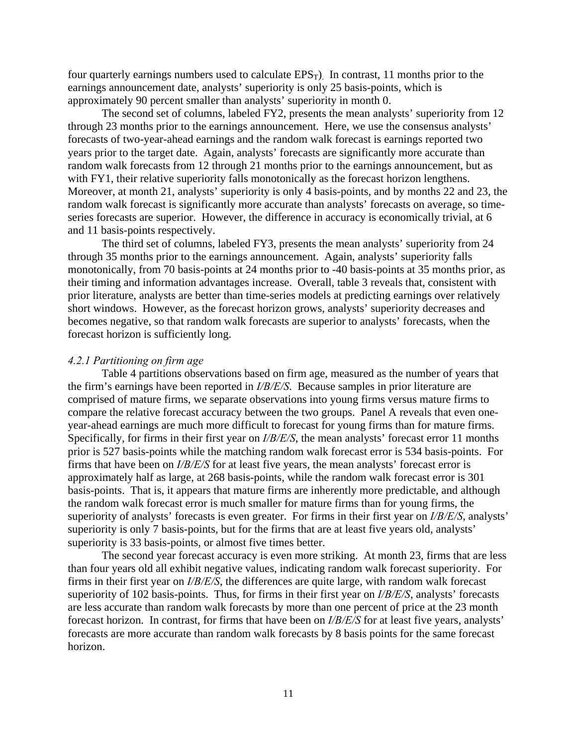four quarterly earnings numbers used to calculate  $EPS_T$ ). In contrast, 11 months prior to the earnings announcement date, analysts' superiority is only 25 basis-points, which is approximately 90 percent smaller than analysts' superiority in month 0.

The second set of columns, labeled FY2, presents the mean analysts' superiority from 12 through 23 months prior to the earnings announcement. Here, we use the consensus analysts' forecasts of two-year-ahead earnings and the random walk forecast is earnings reported two years prior to the target date. Again, analysts' forecasts are significantly more accurate than random walk forecasts from 12 through 21 months prior to the earnings announcement, but as with FY1, their relative superiority falls monotonically as the forecast horizon lengthens. Moreover, at month 21, analysts' superiority is only 4 basis-points, and by months 22 and 23, the random walk forecast is significantly more accurate than analysts' forecasts on average, so timeseries forecasts are superior. However, the difference in accuracy is economically trivial, at 6 and 11 basis-points respectively.

The third set of columns, labeled FY3, presents the mean analysts' superiority from 24 through 35 months prior to the earnings announcement. Again, analysts' superiority falls monotonically, from 70 basis-points at 24 months prior to -40 basis-points at 35 months prior, as their timing and information advantages increase. Overall, table 3 reveals that, consistent with prior literature, analysts are better than time-series models at predicting earnings over relatively short windows. However, as the forecast horizon grows, analysts' superiority decreases and becomes negative, so that random walk forecasts are superior to analysts' forecasts, when the forecast horizon is sufficiently long.

#### *4.2.1 Partitioning on firm age*

Table 4 partitions observations based on firm age, measured as the number of years that the firm's earnings have been reported in *I/B/E/S*. Because samples in prior literature are comprised of mature firms, we separate observations into young firms versus mature firms to compare the relative forecast accuracy between the two groups. Panel A reveals that even oneyear-ahead earnings are much more difficult to forecast for young firms than for mature firms. Specifically, for firms in their first year on *I/B/E/S*, the mean analysts' forecast error 11 months prior is 527 basis-points while the matching random walk forecast error is 534 basis-points. For firms that have been on *I/B/E/S* for at least five years, the mean analysts' forecast error is approximately half as large, at 268 basis-points, while the random walk forecast error is 301 basis-points. That is, it appears that mature firms are inherently more predictable, and although the random walk forecast error is much smaller for mature firms than for young firms, the superiority of analysts' forecasts is even greater. For firms in their first year on *I/B/E/S*, analysts' superiority is only 7 basis-points, but for the firms that are at least five years old, analysts' superiority is 33 basis-points, or almost five times better.

The second year forecast accuracy is even more striking. At month 23, firms that are less than four years old all exhibit negative values, indicating random walk forecast superiority. For firms in their first year on *I/B/E/S*, the differences are quite large, with random walk forecast superiority of 102 basis-points. Thus, for firms in their first year on *I/B/E/S*, analysts' forecasts are less accurate than random walk forecasts by more than one percent of price at the 23 month forecast horizon. In contrast, for firms that have been on *I/B/E/S* for at least five years, analysts' forecasts are more accurate than random walk forecasts by 8 basis points for the same forecast horizon.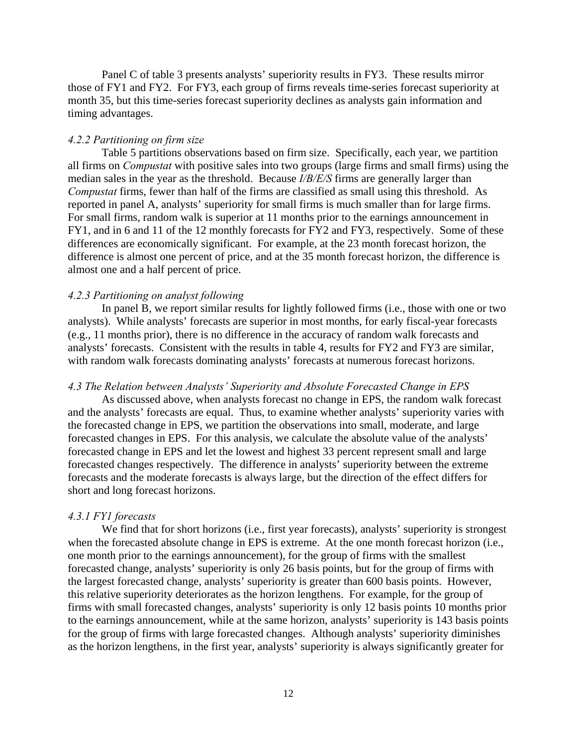Panel C of table 3 presents analysts' superiority results in FY3. These results mirror those of FY1 and FY2. For FY3, each group of firms reveals time-series forecast superiority at month 35, but this time-series forecast superiority declines as analysts gain information and timing advantages.

## *4.2.2 Partitioning on firm size*

Table 5 partitions observations based on firm size. Specifically, each year, we partition all firms on *Compustat* with positive sales into two groups (large firms and small firms) using the median sales in the year as the threshold. Because *I/B/E/S* firms are generally larger than *Compustat* firms, fewer than half of the firms are classified as small using this threshold. As reported in panel A, analysts' superiority for small firms is much smaller than for large firms. For small firms, random walk is superior at 11 months prior to the earnings announcement in FY1, and in 6 and 11 of the 12 monthly forecasts for FY2 and FY3, respectively. Some of these differences are economically significant. For example, at the 23 month forecast horizon, the difference is almost one percent of price, and at the 35 month forecast horizon, the difference is almost one and a half percent of price.

#### *4.2.3 Partitioning on analyst following*

In panel B, we report similar results for lightly followed firms (i.e., those with one or two analysts). While analysts' forecasts are superior in most months, for early fiscal-year forecasts (e.g., 11 months prior), there is no difference in the accuracy of random walk forecasts and analysts' forecasts. Consistent with the results in table 4, results for FY2 and FY3 are similar, with random walk forecasts dominating analysts' forecasts at numerous forecast horizons.

#### *4.3 The Relation between Analysts' Superiority and Absolute Forecasted Change in EPS*

As discussed above, when analysts forecast no change in EPS, the random walk forecast and the analysts' forecasts are equal. Thus, to examine whether analysts' superiority varies with the forecasted change in EPS, we partition the observations into small, moderate, and large forecasted changes in EPS. For this analysis, we calculate the absolute value of the analysts' forecasted change in EPS and let the lowest and highest 33 percent represent small and large forecasted changes respectively. The difference in analysts' superiority between the extreme forecasts and the moderate forecasts is always large, but the direction of the effect differs for short and long forecast horizons.

#### *4.3.1 FY1 forecasts*

We find that for short horizons (i.e., first year forecasts), analysts' superiority is strongest when the forecasted absolute change in EPS is extreme. At the one month forecast horizon (i.e., one month prior to the earnings announcement), for the group of firms with the smallest forecasted change, analysts' superiority is only 26 basis points, but for the group of firms with the largest forecasted change, analysts' superiority is greater than 600 basis points. However, this relative superiority deteriorates as the horizon lengthens. For example, for the group of firms with small forecasted changes, analysts' superiority is only 12 basis points 10 months prior to the earnings announcement, while at the same horizon, analysts' superiority is 143 basis points for the group of firms with large forecasted changes. Although analysts' superiority diminishes as the horizon lengthens, in the first year, analysts' superiority is always significantly greater for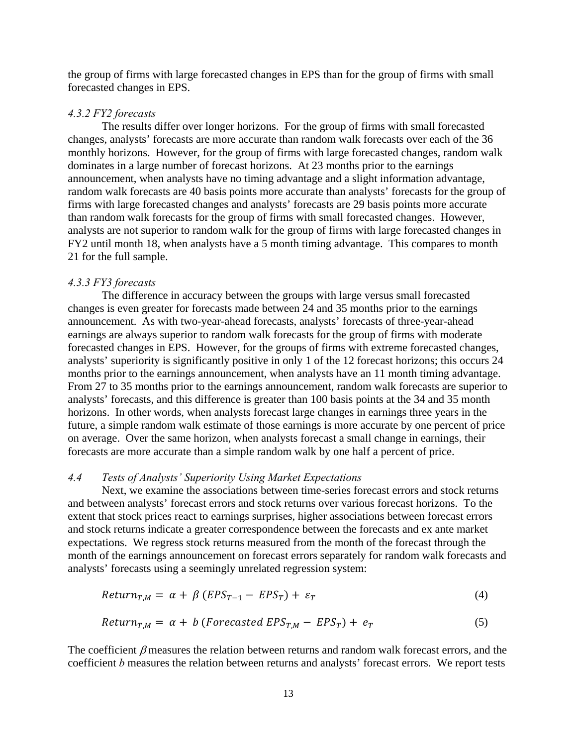the group of firms with large forecasted changes in EPS than for the group of firms with small forecasted changes in EPS.

# *4.3.2 FY2 forecasts*

The results differ over longer horizons. For the group of firms with small forecasted changes, analysts' forecasts are more accurate than random walk forecasts over each of the 36 monthly horizons. However, for the group of firms with large forecasted changes, random walk dominates in a large number of forecast horizons. At 23 months prior to the earnings announcement, when analysts have no timing advantage and a slight information advantage, random walk forecasts are 40 basis points more accurate than analysts' forecasts for the group of firms with large forecasted changes and analysts' forecasts are 29 basis points more accurate than random walk forecasts for the group of firms with small forecasted changes. However, analysts are not superior to random walk for the group of firms with large forecasted changes in FY2 until month 18, when analysts have a 5 month timing advantage. This compares to month 21 for the full sample.

## *4.3.3 FY3 forecasts*

The difference in accuracy between the groups with large versus small forecasted changes is even greater for forecasts made between 24 and 35 months prior to the earnings announcement. As with two-year-ahead forecasts, analysts' forecasts of three-year-ahead earnings are always superior to random walk forecasts for the group of firms with moderate forecasted changes in EPS. However, for the groups of firms with extreme forecasted changes, analysts' superiority is significantly positive in only 1 of the 12 forecast horizons; this occurs 24 months prior to the earnings announcement, when analysts have an 11 month timing advantage. From 27 to 35 months prior to the earnings announcement, random walk forecasts are superior to analysts' forecasts, and this difference is greater than 100 basis points at the 34 and 35 month horizons. In other words, when analysts forecast large changes in earnings three years in the future, a simple random walk estimate of those earnings is more accurate by one percent of price on average. Over the same horizon, when analysts forecast a small change in earnings, their forecasts are more accurate than a simple random walk by one half a percent of price.

#### *4.4 Tests of Analysts' Superiority Using Market Expectations*

Next, we examine the associations between time-series forecast errors and stock returns and between analysts' forecast errors and stock returns over various forecast horizons. To the extent that stock prices react to earnings surprises, higher associations between forecast errors and stock returns indicate a greater correspondence between the forecasts and ex ante market expectations. We regress stock returns measured from the month of the forecast through the month of the earnings announcement on forecast errors separately for random walk forecasts and analysts' forecasts using a seemingly unrelated regression system:

$$
Return_{T,M} = \alpha + \beta (EPS_{T-1} - EPS_T) + \varepsilon_T
$$
\n(4)

$$
Return_{T,M} = \alpha + b \ (Forecasted \ EPS_{T,M} - EPS_T) + e_T \tag{5}
$$

The coefficient  $\beta$  measures the relation between returns and random walk forecast errors, and the coefficient *b* measures the relation between returns and analysts' forecast errors. We report tests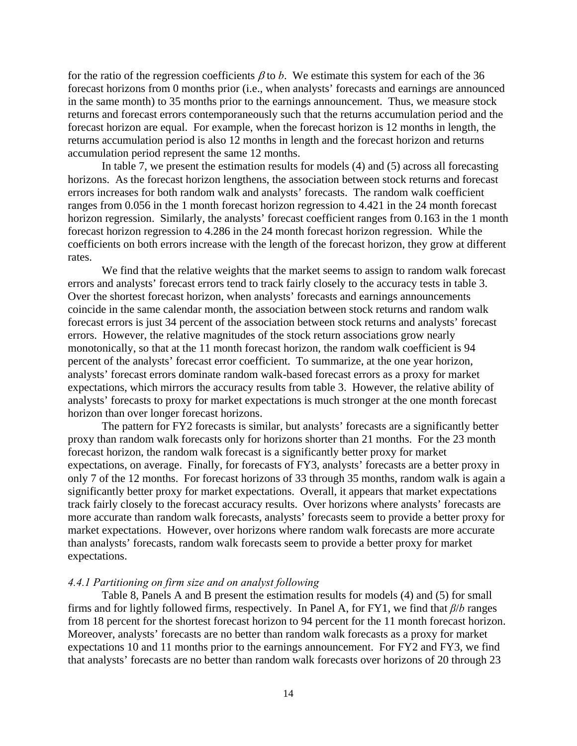for the ratio of the regression coefficients  $\beta$  to *b*. We estimate this system for each of the 36 forecast horizons from 0 months prior (i.e., when analysts' forecasts and earnings are announced in the same month) to 35 months prior to the earnings announcement. Thus, we measure stock returns and forecast errors contemporaneously such that the returns accumulation period and the forecast horizon are equal. For example, when the forecast horizon is 12 months in length, the returns accumulation period is also 12 months in length and the forecast horizon and returns accumulation period represent the same 12 months.

In table 7, we present the estimation results for models (4) and (5) across all forecasting horizons. As the forecast horizon lengthens, the association between stock returns and forecast errors increases for both random walk and analysts' forecasts. The random walk coefficient ranges from 0.056 in the 1 month forecast horizon regression to 4.421 in the 24 month forecast horizon regression. Similarly, the analysts' forecast coefficient ranges from 0.163 in the 1 month forecast horizon regression to 4.286 in the 24 month forecast horizon regression. While the coefficients on both errors increase with the length of the forecast horizon, they grow at different rates.

We find that the relative weights that the market seems to assign to random walk forecast errors and analysts' forecast errors tend to track fairly closely to the accuracy tests in table 3. Over the shortest forecast horizon, when analysts' forecasts and earnings announcements coincide in the same calendar month, the association between stock returns and random walk forecast errors is just 34 percent of the association between stock returns and analysts' forecast errors. However, the relative magnitudes of the stock return associations grow nearly monotonically, so that at the 11 month forecast horizon, the random walk coefficient is 94 percent of the analysts' forecast error coefficient. To summarize, at the one year horizon, analysts' forecast errors dominate random walk-based forecast errors as a proxy for market expectations, which mirrors the accuracy results from table 3. However, the relative ability of analysts' forecasts to proxy for market expectations is much stronger at the one month forecast horizon than over longer forecast horizons.

The pattern for FY2 forecasts is similar, but analysts' forecasts are a significantly better proxy than random walk forecasts only for horizons shorter than 21 months. For the 23 month forecast horizon, the random walk forecast is a significantly better proxy for market expectations, on average. Finally, for forecasts of FY3, analysts' forecasts are a better proxy in only 7 of the 12 months. For forecast horizons of 33 through 35 months, random walk is again a significantly better proxy for market expectations. Overall, it appears that market expectations track fairly closely to the forecast accuracy results. Over horizons where analysts' forecasts are more accurate than random walk forecasts, analysts' forecasts seem to provide a better proxy for market expectations. However, over horizons where random walk forecasts are more accurate than analysts' forecasts, random walk forecasts seem to provide a better proxy for market expectations.

#### *4.4.1 Partitioning on firm size and on analyst following*

Table 8, Panels A and B present the estimation results for models (4) and (5) for small firms and for lightly followed firms, respectively. In Panel A, for FY1, we find that *β*/*b* ranges from 18 percent for the shortest forecast horizon to 94 percent for the 11 month forecast horizon. Moreover, analysts' forecasts are no better than random walk forecasts as a proxy for market expectations 10 and 11 months prior to the earnings announcement. For FY2 and FY3, we find that analysts' forecasts are no better than random walk forecasts over horizons of 20 through 23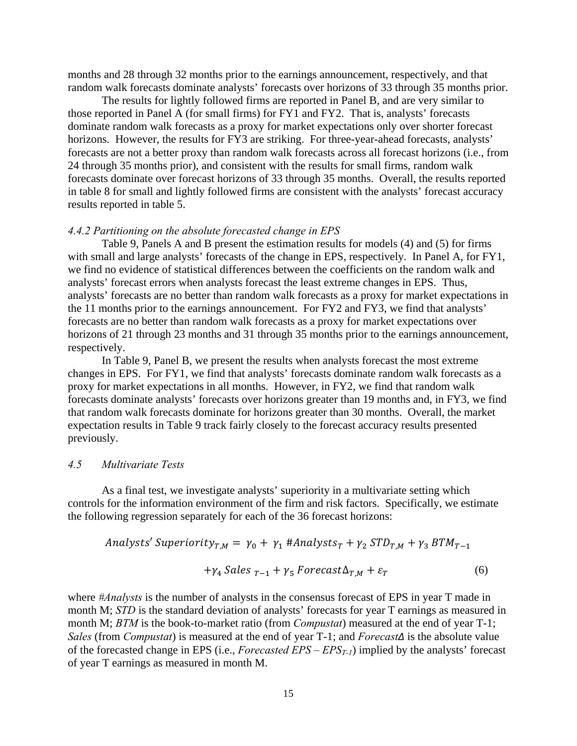months and 28 through 32 months prior to the earnings announcement, respectively, and that random walk forecasts dominate analysts' forecasts over horizons of 33 through 35 months prior.

The results for lightly followed firms are reported in Panel B, and are very similar to those reported in Panel A (for small firms) for FY1 and FY2. That is, analysts' forecasts dominate random walk forecasts as a proxy for market expectations only over shorter forecast horizons. However, the results for FY3 are striking. For three-year-ahead forecasts, analysts' forecasts are not a better proxy than random walk forecasts across all forecast horizons (i.e., from 24 through 35 months prior), and consistent with the results for small firms, random walk forecasts dominate over forecast horizons of 33 through 35 months. Overall, the results reported in table 8 for small and lightly followed firms are consistent with the analysts' forecast accuracy results reported in table 5.

#### *4.4.2 Partitioning on the absolute forecasted change in EPS*

Table 9, Panels A and B present the estimation results for models (4) and (5) for firms with small and large analysts' forecasts of the change in EPS, respectively. In Panel A, for FY1, we find no evidence of statistical differences between the coefficients on the random walk and analysts' forecast errors when analysts forecast the least extreme changes in EPS. Thus, analysts' forecasts are no better than random walk forecasts as a proxy for market expectations in the 11 months prior to the earnings announcement. For FY2 and FY3, we find that analysts' forecasts are no better than random walk forecasts as a proxy for market expectations over horizons of 21 through 23 months and 31 through 35 months prior to the earnings announcement, respectively.

In Table 9, Panel B, we present the results when analysts forecast the most extreme changes in EPS. For FY1, we find that analysts' forecasts dominate random walk forecasts as a proxy for market expectations in all months. However, in FY2, we find that random walk forecasts dominate analysts' forecasts over horizons greater than 19 months and, in FY3, we find that random walk forecasts dominate for horizons greater than 30 months. Overall, the market expectation results in Table 9 track fairly closely to the forecast accuracy results presented previously.

### *4.5 Multivariate Tests*

As a final test, we investigate analysts' superiority in a multivariate setting which controls for the information environment of the firm and risk factors. Specifically, we estimate the following regression separately for each of the 36 forecast horizons:

$$
Analysis'Superiority_{T,M} = \gamma_0 + \gamma_1 #Analysis_{T} + \gamma_2 STD_{T,M} + \gamma_3 BTM_{T-1}
$$

$$
+\gamma_4 \; Sales_{T-1} + \gamma_5 \; For \; exact \Delta_{T,M} + \varepsilon_T \tag{6}
$$

where *#Analysts* is the number of analysts in the consensus forecast of EPS in year T made in month M; *STD* is the standard deviation of analysts' forecasts for year T earnings as measured in month M; *BTM* is the book-to-market ratio (from *Compustat*) measured at the end of year T-1; *Sales* (from *Compustat*) is measured at the end of year T-1; and *Forecast∆* is the absolute value of the forecasted change in EPS (i.e., *Forecasted EPS – EPST-1*) implied by the analysts' forecast of year T earnings as measured in month M.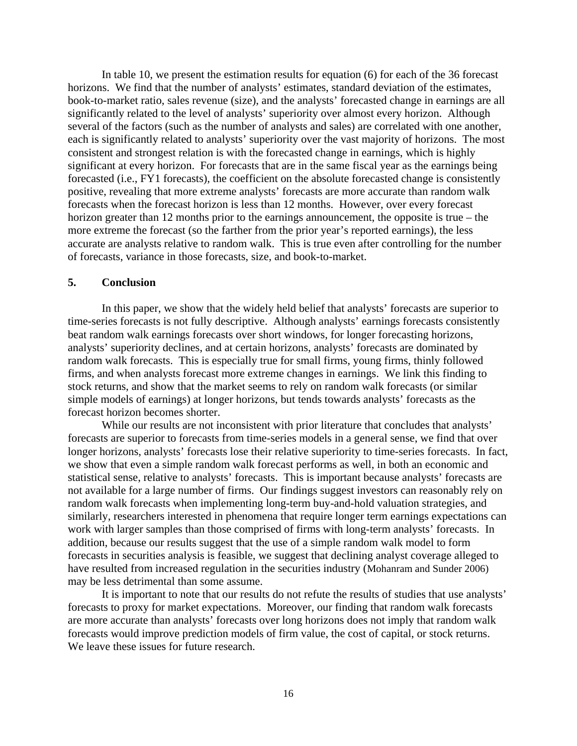In table 10, we present the estimation results for equation (6) for each of the 36 forecast horizons. We find that the number of analysts' estimates, standard deviation of the estimates, book-to-market ratio, sales revenue (size), and the analysts' forecasted change in earnings are all significantly related to the level of analysts' superiority over almost every horizon. Although several of the factors (such as the number of analysts and sales) are correlated with one another, each is significantly related to analysts' superiority over the vast majority of horizons. The most consistent and strongest relation is with the forecasted change in earnings, which is highly significant at every horizon. For forecasts that are in the same fiscal year as the earnings being forecasted (i.e., FY1 forecasts), the coefficient on the absolute forecasted change is consistently positive, revealing that more extreme analysts' forecasts are more accurate than random walk forecasts when the forecast horizon is less than 12 months. However, over every forecast horizon greater than 12 months prior to the earnings announcement, the opposite is true – the more extreme the forecast (so the farther from the prior year's reported earnings), the less accurate are analysts relative to random walk. This is true even after controlling for the number of forecasts, variance in those forecasts, size, and book-to-market.

## **5. Conclusion**

In this paper, we show that the widely held belief that analysts' forecasts are superior to time-series forecasts is not fully descriptive. Although analysts' earnings forecasts consistently beat random walk earnings forecasts over short windows, for longer forecasting horizons, analysts' superiority declines, and at certain horizons, analysts' forecasts are dominated by random walk forecasts. This is especially true for small firms, young firms, thinly followed firms, and when analysts forecast more extreme changes in earnings. We link this finding to stock returns, and show that the market seems to rely on random walk forecasts (or similar simple models of earnings) at longer horizons, but tends towards analysts' forecasts as the forecast horizon becomes shorter.

While our results are not inconsistent with prior literature that concludes that analysts' forecasts are superior to forecasts from time-series models in a general sense, we find that over longer horizons, analysts' forecasts lose their relative superiority to time-series forecasts. In fact, we show that even a simple random walk forecast performs as well, in both an economic and statistical sense, relative to analysts' forecasts. This is important because analysts' forecasts are not available for a large number of firms. Our findings suggest investors can reasonably rely on random walk forecasts when implementing long-term buy-and-hold valuation strategies, and similarly, researchers interested in phenomena that require longer term earnings expectations can work with larger samples than those comprised of firms with long-term analysts' forecasts. In addition, because our results suggest that the use of a simple random walk model to form forecasts in securities analysis is feasible, we suggest that declining analyst coverage alleged to have resulted from increased regulation in the securities industry (Mohanram and Sunder 2006) may be less detrimental than some assume.

It is important to note that our results do not refute the results of studies that use analysts' forecasts to proxy for market expectations. Moreover, our finding that random walk forecasts are more accurate than analysts' forecasts over long horizons does not imply that random walk forecasts would improve prediction models of firm value, the cost of capital, or stock returns. We leave these issues for future research.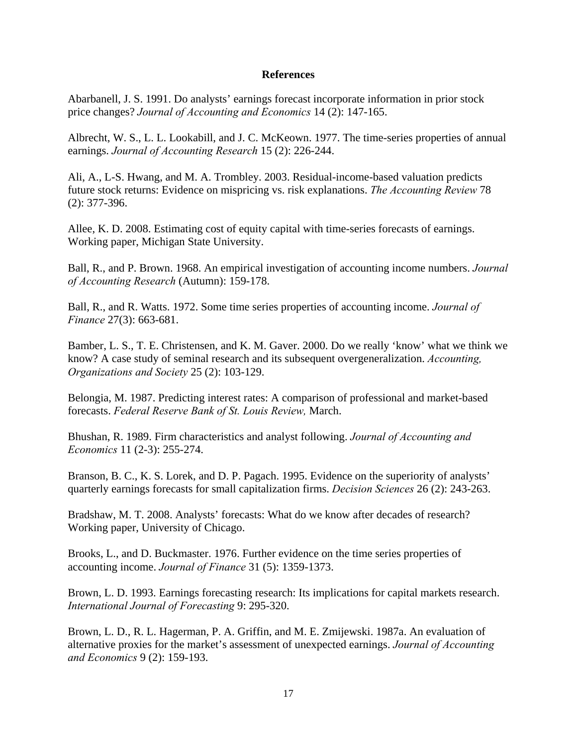# **References**

Abarbanell, J. S. 1991. Do analysts' earnings forecast incorporate information in prior stock price changes? *Journal of Accounting and Economics* 14 (2): 147-165.

Albrecht, W. S., L. L. Lookabill, and J. C. McKeown. 1977. The time-series properties of annual earnings. *Journal of Accounting Research* 15 (2): 226-244.

Ali, A., L-S. Hwang, and M. A. Trombley. 2003. Residual-income-based valuation predicts future stock returns: Evidence on mispricing vs. risk explanations. *The Accounting Review* 78 (2): 377-396.

Allee, K. D. 2008. Estimating cost of equity capital with time-series forecasts of earnings. Working paper, Michigan State University.

Ball, R., and P. Brown. 1968. An empirical investigation of accounting income numbers. *Journal of Accounting Research* (Autumn): 159-178.

Ball, R., and R. Watts. 1972. Some time series properties of accounting income. *Journal of Finance* 27(3): 663-681.

Bamber, L. S., T. E. Christensen, and K. M. Gaver. 2000. Do we really 'know' what we think we know? A case study of seminal research and its subsequent overgeneralization. *Accounting, Organizations and Society* 25 (2): 103-129.

Belongia, M. 1987. Predicting interest rates: A comparison of professional and market-based forecasts. *Federal Reserve Bank of St. Louis Review,* March.

Bhushan, R. 1989. Firm characteristics and analyst following. *Journal of Accounting and Economics* 11 (2-3): 255-274.

Branson, B. C., K. S. Lorek, and D. P. Pagach. 1995. Evidence on the superiority of analysts' quarterly earnings forecasts for small capitalization firms. *Decision Sciences* 26 (2): 243-263.

Bradshaw, M. T. 2008. Analysts' forecasts: What do we know after decades of research? Working paper, University of Chicago.

Brooks, L., and D. Buckmaster. 1976. Further evidence on the time series properties of accounting income. *Journal of Finance* 31 (5): 1359-1373.

Brown, L. D. 1993. Earnings forecasting research: Its implications for capital markets research. *International Journal of Forecasting* 9: 295-320.

Brown, L. D., R. L. Hagerman, P. A. Griffin, and M. E. Zmijewski. 1987a. An evaluation of alternative proxies for the market's assessment of unexpected earnings. *Journal of Accounting and Economics* 9 (2): 159-193.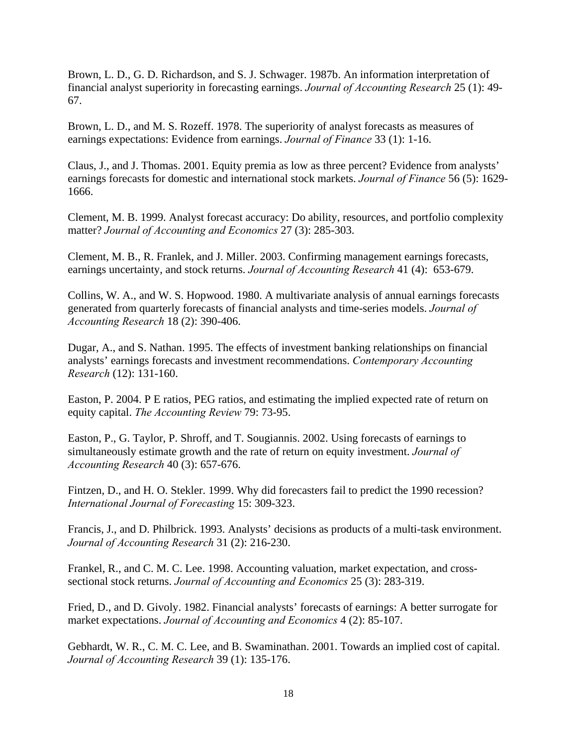Brown, L. D., G. D. Richardson, and S. J. Schwager. 1987b. An information interpretation of financial analyst superiority in forecasting earnings. *Journal of Accounting Research* 25 (1): 49- 67.

Brown, L. D., and M. S. Rozeff. 1978. The superiority of analyst forecasts as measures of earnings expectations: Evidence from earnings. *Journal of Finance* 33 (1): 1-16.

Claus, J., and J. Thomas. 2001. Equity premia as low as three percent? Evidence from analysts' earnings forecasts for domestic and international stock markets. *Journal of Finance* 56 (5): 1629- 1666.

Clement, M. B. 1999. Analyst forecast accuracy: Do ability, resources, and portfolio complexity matter? *Journal of Accounting and Economics* 27 (3): 285-303.

Clement, M. B., R. Franlek, and J. Miller. 2003. Confirming management earnings forecasts, earnings uncertainty, and stock returns. *Journal of Accounting Research* 41 (4): 653-679.

Collins, W. A., and W. S. Hopwood. 1980. A multivariate analysis of annual earnings forecasts generated from quarterly forecasts of financial analysts and time-series models. *Journal of Accounting Research* 18 (2): 390-406.

Dugar, A., and S. Nathan. 1995. The effects of investment banking relationships on financial analysts' earnings forecasts and investment recommendations. *Contemporary Accounting Research* (12): 131-160.

Easton, P. 2004. P E ratios, PEG ratios, and estimating the implied expected rate of return on equity capital. *The Accounting Review* 79: 73-95.

Easton, P., G. Taylor, P. Shroff, and T. Sougiannis. 2002. Using forecasts of earnings to simultaneously estimate growth and the rate of return on equity investment. *Journal of Accounting Research* 40 (3): 657-676.

Fintzen, D., and H. O. Stekler. 1999. Why did forecasters fail to predict the 1990 recession? *International Journal of Forecasting* 15: 309-323.

Francis, J., and D. Philbrick. 1993. Analysts' decisions as products of a multi-task environment. *Journal of Accounting Research* 31 (2): 216-230.

Frankel, R., and C. M. C. Lee. 1998. Accounting valuation, market expectation, and crosssectional stock returns. *Journal of Accounting and Economics* 25 (3): 283-319.

Fried, D., and D. Givoly. 1982. Financial analysts' forecasts of earnings: A better surrogate for market expectations. *Journal of Accounting and Economics* 4 (2): 85-107.

Gebhardt, W. R., C. M. C. Lee, and B. Swaminathan. 2001. Towards an implied cost of capital. *Journal of Accounting Research* 39 (1): 135-176.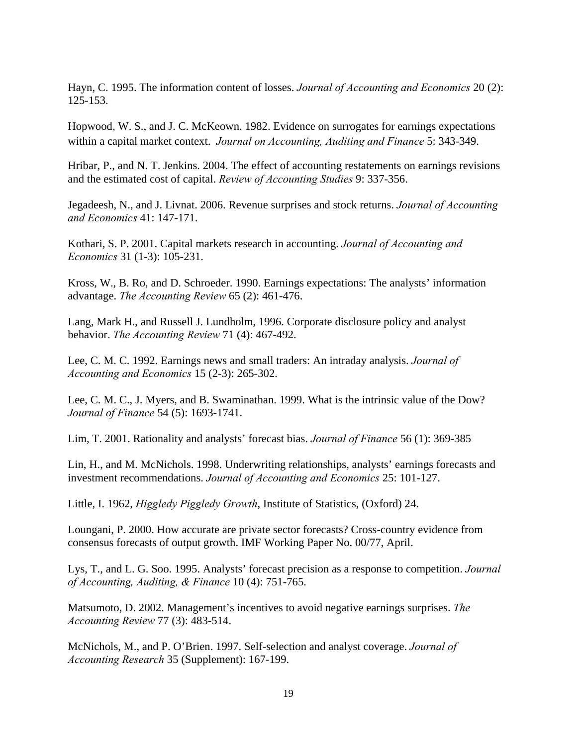Hayn, C. 1995. The information content of losses. *Journal of Accounting and Economics* 20 (2): 125-153.

Hopwood, W. S., and J. C. McKeown. 1982. Evidence on surrogates for earnings expectations within a capital market context. *Journal on Accounting, Auditing and Finance* 5: 343-349.

Hribar, P., and N. T. Jenkins. 2004. The effect of accounting restatements on earnings revisions and the estimated cost of capital. *Review of Accounting Studies* 9: 337-356.

Jegadeesh, N., and J. Livnat. 2006. Revenue surprises and stock returns. *Journal of Accounting and Economics* 41: 147-171.

Kothari, S. P. 2001. Capital markets research in accounting. *Journal of Accounting and Economics* 31 (1-3): 105-231.

Kross, W., B. Ro, and D. Schroeder. 1990. Earnings expectations: The analysts' information advantage. *The Accounting Review* 65 (2): 461-476.

Lang, Mark H., and Russell J. Lundholm, 1996. Corporate disclosure policy and analyst behavior. *The Accounting Review* 71 (4): 467-492.

Lee, C. M. C. 1992. Earnings news and small traders: An intraday analysis. *Journal of Accounting and Economics* 15 (2-3): 265-302.

Lee, C. M. C., J. Myers, and B. Swaminathan. 1999. What is the intrinsic value of the Dow? *Journal of Finance* 54 (5): 1693-1741.

Lim, T. 2001. Rationality and analysts' forecast bias. *Journal of Finance* 56 (1): 369-385

Lin, H., and M. McNichols. 1998. Underwriting relationships, analysts' earnings forecasts and investment recommendations. *Journal of Accounting and Economics* 25: 101-127.

Little, I. 1962, *Higgledy Piggledy Growth*, Institute of Statistics, (Oxford) 24.

Loungani, P. 2000. How accurate are private sector forecasts? Cross-country evidence from consensus forecasts of output growth. IMF Working Paper No. 00/77, April.

Lys, T., and L. G. Soo. 1995. Analysts' forecast precision as a response to competition. *Journal of Accounting, Auditing, & Finance* 10 (4): 751-765.

Matsumoto, D. 2002. Management's incentives to avoid negative earnings surprises. *The Accounting Review* 77 (3): 483-514.

McNichols, M., and P. O'Brien. 1997. Self-selection and analyst coverage. *Journal of Accounting Research* 35 (Supplement): 167-199.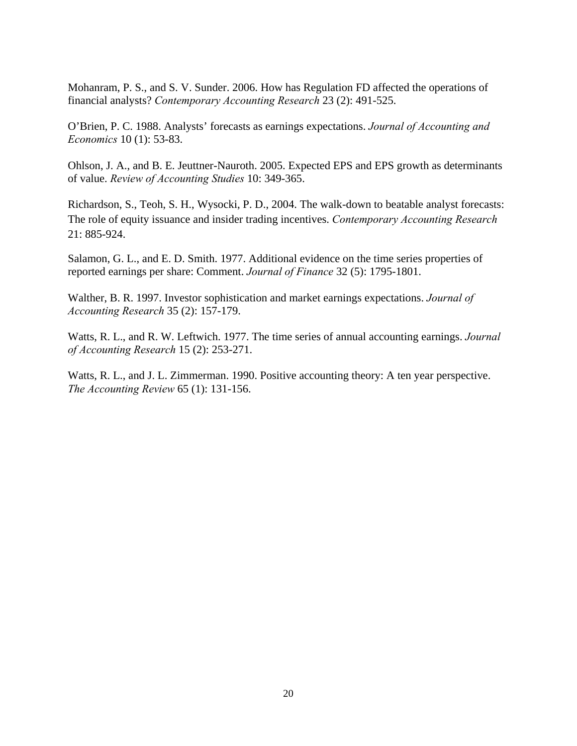Mohanram, P. S., and S. V. Sunder. 2006. How has Regulation FD affected the operations of financial analysts? *Contemporary Accounting Research* 23 (2): 491-525.

O'Brien, P. C. 1988. Analysts' forecasts as earnings expectations. *Journal of Accounting and Economics* 10 (1): 53-83.

Ohlson, J. A., and B. E. Jeuttner-Nauroth. 2005. Expected EPS and EPS growth as determinants of value. *Review of Accounting Studies* 10: 349-365.

Richardson, S., Teoh, S. H., Wysocki, P. D., 2004. The walk-down to beatable analyst forecasts: The role of equity issuance and insider trading incentives. *Contemporary Accounting Research* 21: 885-924.

Salamon, G. L., and E. D. Smith. 1977. Additional evidence on the time series properties of reported earnings per share: Comment. *Journal of Finance* 32 (5): 1795-1801.

Walther, B. R. 1997. Investor sophistication and market earnings expectations. *Journal of Accounting Research* 35 (2): 157-179.

Watts, R. L., and R. W. Leftwich. 1977. The time series of annual accounting earnings. *Journal of Accounting Research* 15 (2): 253-271.

Watts, R. L., and J. L. Zimmerman. 1990. Positive accounting theory: A ten year perspective. *The Accounting Review* 65 (1): 131-156.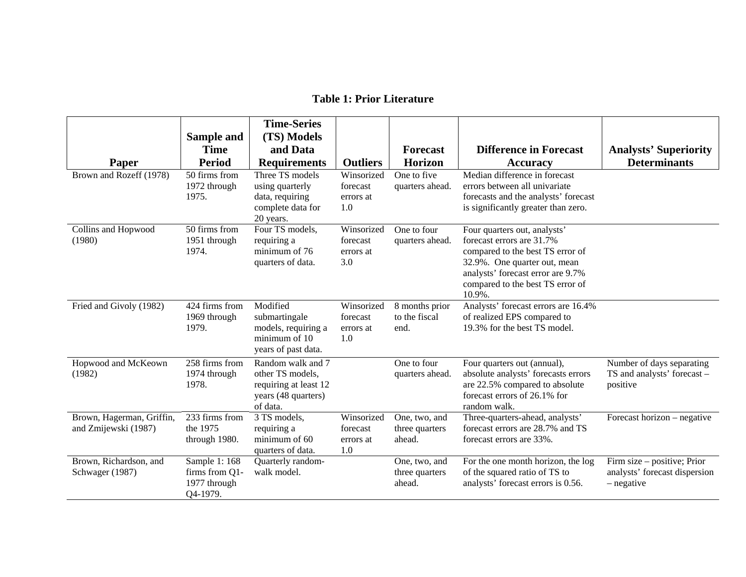|                                                   | Sample and                                                  | <b>Time-Series</b><br>(TS) Models                                                                 |                                            |                                           |                                                                                                                                                                                                                  |                                                                              |
|---------------------------------------------------|-------------------------------------------------------------|---------------------------------------------------------------------------------------------------|--------------------------------------------|-------------------------------------------|------------------------------------------------------------------------------------------------------------------------------------------------------------------------------------------------------------------|------------------------------------------------------------------------------|
|                                                   | Time                                                        | and Data                                                                                          |                                            | <b>Forecast</b>                           | <b>Difference in Forecast</b>                                                                                                                                                                                    | <b>Analysts' Superiority</b>                                                 |
| Paper                                             | <b>Period</b>                                               | <b>Requirements</b>                                                                               | <b>Outliers</b>                            | <b>Horizon</b>                            | <b>Accuracy</b>                                                                                                                                                                                                  | <b>Determinants</b>                                                          |
| Brown and Rozeff (1978)                           | 50 firms from<br>1972 through<br>1975.                      | Three TS models<br>using quarterly<br>data, requiring<br>complete data for<br>20 years.           | Winsorized<br>forecast<br>errors at<br>1.0 | One to five<br>quarters ahead.            | Median difference in forecast<br>errors between all univariate<br>forecasts and the analysts' forecast<br>is significantly greater than zero.                                                                    |                                                                              |
| Collins and Hopwood<br>(1980)                     | 50 firms from<br>1951 through<br>1974.                      | Four TS models,<br>requiring a<br>minimum of 76<br>quarters of data.                              | Winsorized<br>forecast<br>errors at<br>3.0 | One to four<br>quarters ahead.            | Four quarters out, analysts'<br>forecast errors are 31.7%<br>compared to the best TS error of<br>32.9%. One quarter out, mean<br>analysts' forecast error are 9.7%<br>compared to the best TS error of<br>10.9%. |                                                                              |
| Fried and Givoly (1982)                           | 424 firms from<br>1969 through<br>1979.                     | Modified<br>submartingale<br>models, requiring a<br>minimum of 10<br>years of past data.          | Winsorized<br>forecast<br>errors at<br>1.0 | 8 months prior<br>to the fiscal<br>end.   | Analysts' forecast errors are 16.4%<br>of realized EPS compared to<br>19.3% for the best TS model.                                                                                                               |                                                                              |
| Hopwood and McKeown<br>(1982)                     | 258 firms from<br>1974 through<br>1978.                     | Random walk and 7<br>other TS models,<br>requiring at least 12<br>years (48 quarters)<br>of data. |                                            | One to four<br>quarters ahead.            | Four quarters out (annual),<br>absolute analysts' forecasts errors<br>are 22.5% compared to absolute<br>forecast errors of 26.1% for<br>random walk.                                                             | Number of days separating<br>TS and analysts' forecast -<br>positive         |
| Brown, Hagerman, Griffin,<br>and Zmijewski (1987) | 233 firms from<br>the 1975<br>through 1980.                 | 3 TS models,<br>requiring a<br>minimum of 60<br>quarters of data.                                 | Winsorized<br>forecast<br>errors at<br>1.0 | One, two, and<br>three quarters<br>ahead. | Three-quarters-ahead, analysts'<br>forecast errors are 28.7% and TS<br>forecast errors are 33%.                                                                                                                  | Forecast horizon – negative                                                  |
| Brown, Richardson, and<br>Schwager (1987)         | Sample 1: 168<br>firms from Q1-<br>1977 through<br>Q4-1979. | Quarterly random-<br>walk model.                                                                  |                                            | One, two, and<br>three quarters<br>ahead. | For the one month horizon, the log<br>of the squared ratio of TS to<br>analysts' forecast errors is 0.56.                                                                                                        | Firm size – positive; Prior<br>analysts' forecast dispersion<br>$-$ negative |

## **Table 1: Prior Literature**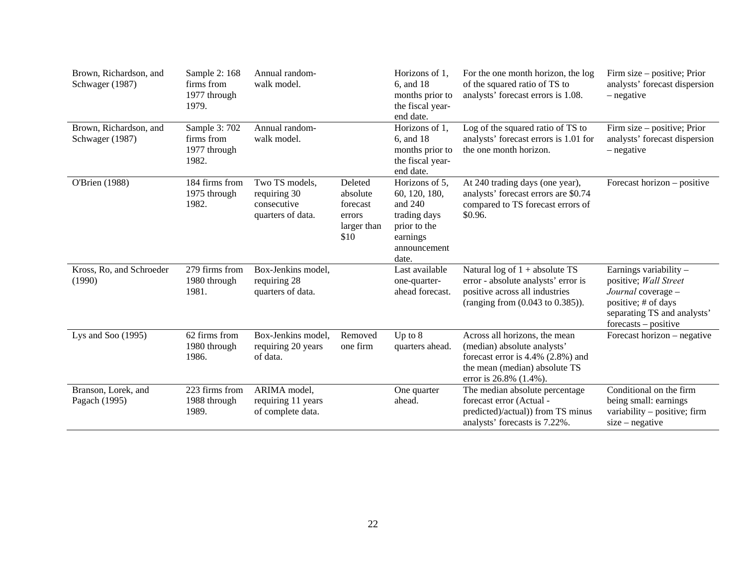| Brown, Richardson, and<br>Schwager (1987) | Sample 2: 168<br>firms from<br>1977 through<br>1979. | Annual random-<br>walk model.                                      |                                                                  | Horizons of 1.<br>6, and 18<br>months prior to<br>the fiscal year-<br>end date.                                   | For the one month horizon, the log<br>of the squared ratio of TS to<br>analysts' forecast errors is 1.08.                                                       | Firm size – positive; Prior<br>analysts' forecast dispersion<br>$-$ negative                                                                          |
|-------------------------------------------|------------------------------------------------------|--------------------------------------------------------------------|------------------------------------------------------------------|-------------------------------------------------------------------------------------------------------------------|-----------------------------------------------------------------------------------------------------------------------------------------------------------------|-------------------------------------------------------------------------------------------------------------------------------------------------------|
| Brown, Richardson, and<br>Schwager (1987) | Sample 3: 702<br>firms from<br>1977 through<br>1982. | Annual random-<br>walk model.                                      |                                                                  | Horizons of 1,<br>6, and 18<br>months prior to<br>the fiscal year-<br>end date.                                   | Log of the squared ratio of TS to<br>analysts' forecast errors is 1.01 for<br>the one month horizon.                                                            | Firm size – positive; Prior<br>analysts' forecast dispersion<br>- negative                                                                            |
| O'Brien (1988)                            | 184 firms from<br>1975 through<br>1982.              | Two TS models,<br>requiring 30<br>consecutive<br>quarters of data. | Deleted<br>absolute<br>forecast<br>errors<br>larger than<br>\$10 | Horizons of 5,<br>60, 120, 180,<br>and $240$<br>trading days<br>prior to the<br>earnings<br>announcement<br>date. | At 240 trading days (one year),<br>analysts' forecast errors are \$0.74<br>compared to TS forecast errors of<br>\$0.96.                                         | Forecast horizon – positive                                                                                                                           |
| Kross, Ro, and Schroeder<br>(1990)        | 279 firms from<br>1980 through<br>1981.              | Box-Jenkins model,<br>requiring 28<br>quarters of data.            |                                                                  | Last available<br>one-quarter-<br>ahead forecast.                                                                 | Natural log of $1 + absolute TS$<br>error - absolute analysts' error is<br>positive across all industries<br>(ranging from (0.043 to 0.385)).                   | Earnings variability -<br>positive; Wall Street<br>Journal coverage -<br>positive; # of days<br>separating TS and analysts'<br>$forecasts - positive$ |
| Lys and Soo $(1995)$                      | 62 firms from<br>1980 through<br>1986.               | Box-Jenkins model,<br>requiring 20 years<br>of data.               | Removed<br>one firm                                              | Up to $8$<br>quarters ahead.                                                                                      | Across all horizons, the mean<br>(median) absolute analysts'<br>forecast error is $4.4\%$ (2.8%) and<br>the mean (median) absolute TS<br>error is 26.8% (1.4%). | Forecast horizon – negative                                                                                                                           |
| Branson, Lorek, and<br>Pagach (1995)      | 223 firms from<br>1988 through<br>1989.              | ARIMA model,<br>requiring 11 years<br>of complete data.            |                                                                  | One quarter<br>ahead.                                                                                             | The median absolute percentage<br>forecast error (Actual -<br>predicted)/actual)) from TS minus<br>analysts' forecasts is 7.22%.                                | Conditional on the firm<br>being small: earnings<br>variability $-$ positive; firm<br>$size - negative$                                               |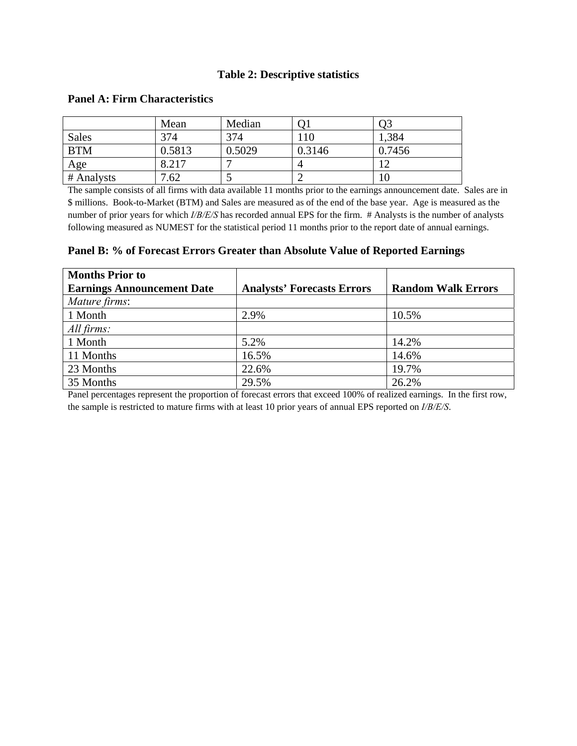## **Table 2: Descriptive statistics**

|            | Mean   | Median |        | Ο3     |
|------------|--------|--------|--------|--------|
| Sales      | 374    | 374    | 110    | 1,384  |
| <b>BTM</b> | 0.5813 | 0.5029 | 0.3146 | 0.7456 |
| Age        | 8.217  |        | 4      | 1 ິ    |
| # Analysts | 7.62   |        | ∠      | 10     |

## **Panel A: Firm Characteristics**

The sample consists of all firms with data available 11 months prior to the earnings announcement date. Sales are in \$ millions. Book-to-Market (BTM) and Sales are measured as of the end of the base year. Age is measured as the number of prior years for which *I/B/E/S* has recorded annual EPS for the firm. # Analysts is the number of analysts following measured as NUMEST for the statistical period 11 months prior to the report date of annual earnings.

**Panel B: % of Forecast Errors Greater than Absolute Value of Reported Earnings** 

| <b>Months Prior to</b>            |                                   |                           |
|-----------------------------------|-----------------------------------|---------------------------|
| <b>Earnings Announcement Date</b> | <b>Analysts' Forecasts Errors</b> | <b>Random Walk Errors</b> |
| Mature firms:                     |                                   |                           |
| 1 Month                           | 2.9%                              | 10.5%                     |
| All firms:                        |                                   |                           |
| 1 Month                           | 5.2%                              | 14.2%                     |
| 11 Months                         | 16.5%                             | 14.6%                     |
| 23 Months                         | 22.6%                             | 19.7%                     |
| 35 Months                         | 29.5%                             | 26.2%                     |

Panel percentages represent the proportion of forecast errors that exceed 100% of realized earnings. In the first row, the sample is restricted to mature firms with at least 10 prior years of annual EPS reported on *I/B/E/S*.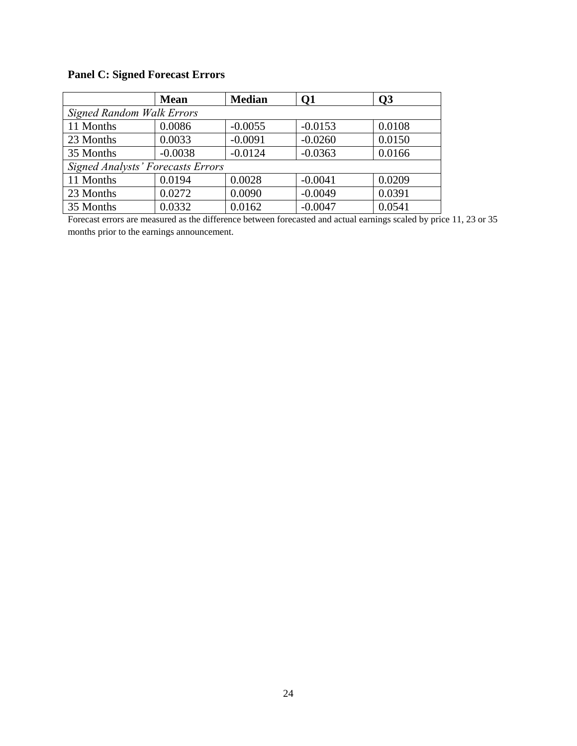# **Panel C: Signed Forecast Errors**

|                                          | <b>Mean</b> | <b>Median</b> | Q1        | Q <sub>3</sub> |  |  |  |  |  |
|------------------------------------------|-------------|---------------|-----------|----------------|--|--|--|--|--|
| <b>Signed Random Walk Errors</b>         |             |               |           |                |  |  |  |  |  |
| 11 Months                                | 0.0086      | $-0.0055$     | $-0.0153$ | 0.0108         |  |  |  |  |  |
| 23 Months                                | 0.0033      | $-0.0091$     | $-0.0260$ | 0.0150         |  |  |  |  |  |
| 35 Months                                | $-0.0038$   | $-0.0124$     | $-0.0363$ | 0.0166         |  |  |  |  |  |
| <b>Signed Analysts' Forecasts Errors</b> |             |               |           |                |  |  |  |  |  |
| 11 Months                                | 0.0194      | 0.0028        | $-0.0041$ | 0.0209         |  |  |  |  |  |
| 23 Months                                | 0.0272      | 0.0090        | $-0.0049$ | 0.0391         |  |  |  |  |  |
| 35 Months                                | 0.0332      | 0.0162        | $-0.0047$ | 0.0541         |  |  |  |  |  |

Forecast errors are measured as the difference between forecasted and actual earnings scaled by price 11, 23 or 35 months prior to the earnings announcement.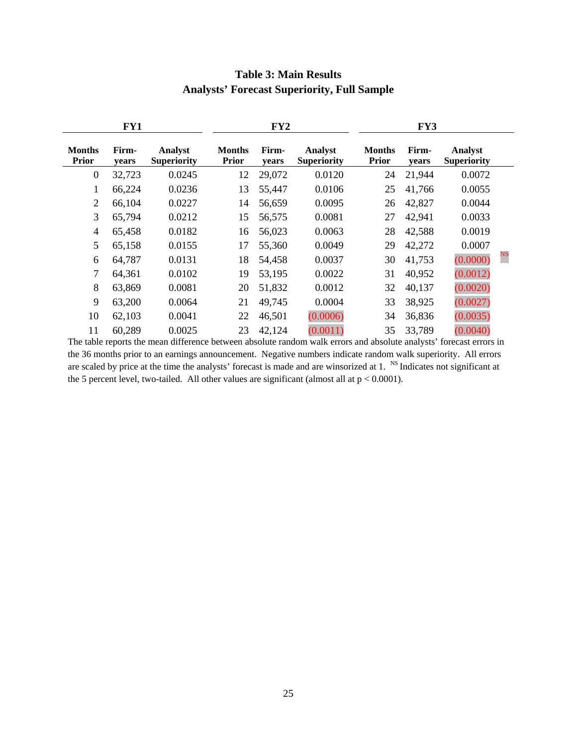|                               | FY1            |                               |                               | FY2            |                               | FY3                           |                |                                      |    |
|-------------------------------|----------------|-------------------------------|-------------------------------|----------------|-------------------------------|-------------------------------|----------------|--------------------------------------|----|
| <b>Months</b><br><b>Prior</b> | Firm-<br>years | Analyst<br><b>Superiority</b> | <b>Months</b><br><b>Prior</b> | Firm-<br>years | Analyst<br><b>Superiority</b> | <b>Months</b><br><b>Prior</b> | Firm-<br>years | <b>Analyst</b><br><b>Superiority</b> |    |
| $\overline{0}$                | 32,723         | 0.0245                        | 12                            | 29,072         | 0.0120                        | 24                            | 21,944         | 0.0072                               |    |
| 1                             | 66,224         | 0.0236                        | 13                            | 55,447         | 0.0106                        | 25                            | 41,766         | 0.0055                               |    |
| $\overline{2}$                | 66,104         | 0.0227                        | 14                            | 56,659         | 0.0095                        | 26                            | 42,827         | 0.0044                               |    |
| 3                             | 65,794         | 0.0212                        | 15                            | 56,575         | 0.0081                        | 27                            | 42,941         | 0.0033                               |    |
| $\overline{4}$                | 65,458         | 0.0182                        | 16                            | 56,023         | 0.0063                        | 28                            | 42,588         | 0.0019                               |    |
| 5                             | 65,158         | 0.0155                        | 17                            | 55,360         | 0.0049                        | 29                            | 42,272         | 0.0007                               |    |
| 6                             | 64,787         | 0.0131                        | 18                            | 54,458         | 0.0037                        | 30                            | 41,753         | (0.0000)                             | NS |
| 7                             | 64,361         | 0.0102                        | 19                            | 53,195         | 0.0022                        | 31                            | 40,952         | (0.0012)                             |    |
| 8                             | 63,869         | 0.0081                        | 20                            | 51,832         | 0.0012                        | 32                            | 40,137         | (0.0020)                             |    |
| 9                             | 63,200         | 0.0064                        | 21                            | 49,745         | 0.0004                        | 33                            | 38,925         | (0.0027)                             |    |
| 10                            | 62,103         | 0.0041                        | 22                            | 46,501         | (0.0006)                      | 34                            | 36,836         | (0.0035)                             |    |
| 11                            | 60,289         | 0.0025                        | 23                            | 42,124         | (0.0011)                      | 35                            | 33,789         | (0.0040)                             |    |

# **Table 3: Main Results Analysts' Forecast Superiority, Full Sample**

The table reports the mean difference between absolute random walk errors and absolute analysts' forecast errors in the 36 months prior to an earnings announcement. Negative numbers indicate random walk superiority. All errors are scaled by price at the time the analysts' forecast is made and are winsorized at 1.  $\frac{1}{N}$  Indicates not significant at the 5 percent level, two-tailed. All other values are significant (almost all at  $p < 0.0001$ ).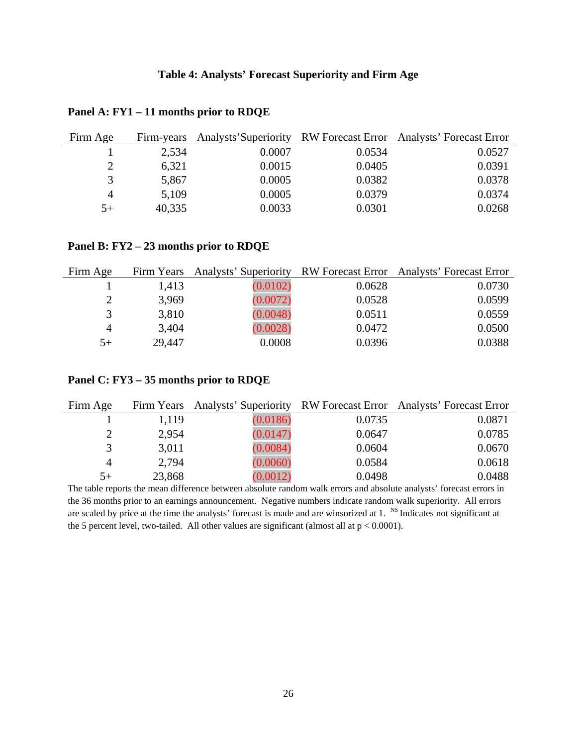| Firm Age | Firm-years |        |        | Analysts' Superiority RW Forecast Error Analysts' Forecast Error |
|----------|------------|--------|--------|------------------------------------------------------------------|
|          | 2,534      | 0.0007 | 0.0534 | 0.0527                                                           |
|          | 6,321      | 0.0015 | 0.0405 | 0.0391                                                           |
|          | 5,867      | 0.0005 | 0.0382 | 0.0378                                                           |
| 4        | 5,109      | 0.0005 | 0.0379 | 0.0374                                                           |
| $5+$     | 40,335     | 0.0033 | 0.0301 | 0.0268                                                           |

#### **Panel A: FY1 – 11 months prior to RDQE**

#### **Panel B: FY2 – 23 months prior to RDQE**

| Firm Age      |        |          |        | Firm Years Analysts' Superiority RW Forecast Error Analysts' Forecast Error |
|---------------|--------|----------|--------|-----------------------------------------------------------------------------|
|               | 1,413  | (0.0102) | 0.0628 | 0.0730                                                                      |
|               | 3,969  | (0.0072) | 0.0528 | 0.0599                                                                      |
| $\mathcal{R}$ | 3,810  | (0.0048) | 0.0511 | 0.0559                                                                      |
| 4             | 3,404  | (0.0028) | 0.0472 | 0.0500                                                                      |
| $5+$          | 29,447 | 0.0008   | 0.0396 | 0.0388                                                                      |

| Firm Age      |        |          |        | Firm Years Analysts' Superiority RW Forecast Error Analysts' Forecast Error |
|---------------|--------|----------|--------|-----------------------------------------------------------------------------|
|               | 1,119  | (0.0186) | 0.0735 | 0.0871                                                                      |
|               | 2,954  | (0.0147) | 0.0647 | 0.0785                                                                      |
| $\mathcal{R}$ | 3,011  | (0.0084) | 0.0604 | 0.0670                                                                      |
| 4             | 2,794  | (0.0060) | 0.0584 | 0.0618                                                                      |
| $5+$          | 23,868 | (0.0012) | 0.0498 | 0.0488                                                                      |

# **Panel C: FY3 – 35 months prior to RDQE**

The table reports the mean difference between absolute random walk errors and absolute analysts' forecast errors in the 36 months prior to an earnings announcement. Negative numbers indicate random walk superiority. All errors are scaled by price at the time the analysts' forecast is made and are winsorized at 1. NS Indicates not significant at the 5 percent level, two-tailed. All other values are significant (almost all at  $p < 0.0001$ ).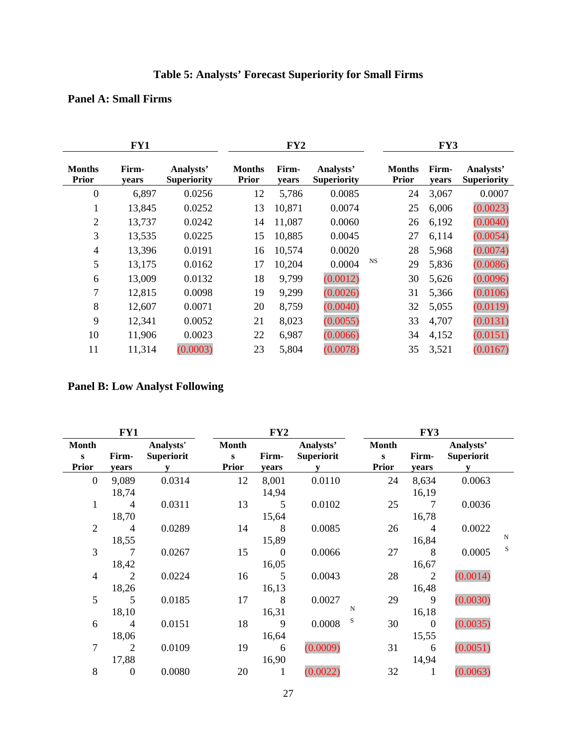# **Table 5: Analysts' Forecast Superiority for Small Firms**

# **Panel A: Small Firms**

|                               | FY1            | FY2                             |                               |                | FY3                             |           |                               |                |                                 |
|-------------------------------|----------------|---------------------------------|-------------------------------|----------------|---------------------------------|-----------|-------------------------------|----------------|---------------------------------|
| <b>Months</b><br><b>Prior</b> | Firm-<br>years | Analysts'<br><b>Superiority</b> | <b>Months</b><br><b>Prior</b> | Firm-<br>years | Analysts'<br><b>Superiority</b> |           | <b>Months</b><br><b>Prior</b> | Firm-<br>years | Analysts'<br><b>Superiority</b> |
| $\overline{0}$                | 6,897          | 0.0256                          | 12                            | 5,786          | 0.0085                          |           | 24                            | 3,067          | 0.0007                          |
| 1                             | 13,845         | 0.0252                          | 13                            | 10,871         | 0.0074                          |           | 25                            | 6,006          | (0.0023)                        |
| $\overline{2}$                | 13,737         | 0.0242                          | 14                            | 11,087         | 0.0060                          |           | 26                            | 6,192          | (0.0040)                        |
| 3                             | 13,535         | 0.0225                          | 15                            | 10,885         | 0.0045                          |           | 27                            | 6,114          | (0.0054)                        |
| $\overline{4}$                | 13,396         | 0.0191                          | 16                            | 10,574         | 0.0020                          |           | 28                            | 5,968          | (0.0074)                        |
| 5                             | 13,175         | 0.0162                          | 17                            | 10,204         | 0.0004                          | <b>NS</b> | 29                            | 5,836          | (0.0086)                        |
| 6                             | 13,009         | 0.0132                          | 18                            | 9,799          | (0.0012)                        |           | 30                            | 5,626          | (0.0096)                        |
| 7                             | 12,815         | 0.0098                          | 19                            | 9,299          | (0.0026)                        |           | 31                            | 5,366          | (0.0106)                        |
| 8                             | 12,607         | 0.0071                          | 20                            | 8,759          | (0.0040)                        |           | 32                            | 5,055          | (0.0119)                        |
| 9                             | 12,341         | 0.0052                          | 21                            | 8,023          | (0.0055)                        |           | 33                            | 4,707          | (0.0131)                        |
| 10                            | 11,906         | 0.0023                          | 22                            | 6,987          | (0.0066)                        |           | 34                            | 4,152          | (0.0151)                        |
| 11                            | 11,314         | (0.0003)                        | 23                            | 5,804          | (0.0078)                        |           | 35                            | 3,521          | (0.0167)                        |

# **Panel B: Low Analyst Following**

|                                          | FY1                     |                                |                                              | FY2                       |                                |                                              | FY3                     |                                |             |  |
|------------------------------------------|-------------------------|--------------------------------|----------------------------------------------|---------------------------|--------------------------------|----------------------------------------------|-------------------------|--------------------------------|-------------|--|
| <b>Month</b><br>$\bf{s}$<br><b>Prior</b> | Firm-<br>years          | Analysts'<br><b>Superiorit</b> | <b>Month</b><br>$\mathbf{s}$<br><b>Prior</b> | Firm-<br>years            | Analysts'<br><b>Superiorit</b> | <b>Month</b><br>$\mathbf{s}$<br><b>Prior</b> | Firm-<br>years          | Analysts'<br><b>Superiorit</b> |             |  |
| $\mathbf{0}$                             | 9,089<br>18,74          | 0.0314                         | 12                                           | 8,001<br>14,94            | 0.0110                         | 24                                           | 8,634<br>16,19          | 0.0063                         |             |  |
| $\mathbf{1}$                             | $\overline{4}$<br>18,70 | 0.0311                         | 13                                           | 5<br>15,64                | 0.0102                         | 25                                           | 7<br>16,78              | 0.0036                         |             |  |
| $\overline{2}$                           | $\overline{4}$<br>18,55 | 0.0289                         | 14                                           | 8<br>15,89                | 0.0085                         | 26                                           | $\overline{4}$<br>16,84 | 0.0022                         | $\mathbf N$ |  |
| 3                                        | 7<br>18,42              | 0.0267                         | 15                                           | $\boldsymbol{0}$<br>16,05 | 0.0066                         | 27                                           | 8<br>16,67              | 0.0005                         | S           |  |
| $\overline{4}$                           | 2<br>18,26              | 0.0224                         | 16                                           | 5<br>16,13                | 0.0043                         | 28                                           | $\overline{2}$<br>16,48 | (0.0014)                       |             |  |
| 5                                        | 5<br>18,10              | 0.0185                         | 17                                           | 8<br>16,31                | 0.0027                         | 29<br>N                                      | 9<br>16,18              | (0.0030)                       |             |  |
| 6                                        | $\overline{4}$<br>18,06 | 0.0151                         | 18                                           | 9<br>16,64                | 0.0008                         | S<br>30                                      | $\overline{0}$<br>15,55 | (0.0035)                       |             |  |
| 7                                        | 2<br>17,88              | 0.0109                         | 19                                           | 6<br>16,90                | (0.0009)                       | 31                                           | 6<br>14,94              | (0.0051)                       |             |  |
| 8                                        | $\mathbf{0}$            | 0.0080                         | 20                                           | 1                         | (0.0022)                       | 32                                           | 1                       | (0.0063)                       |             |  |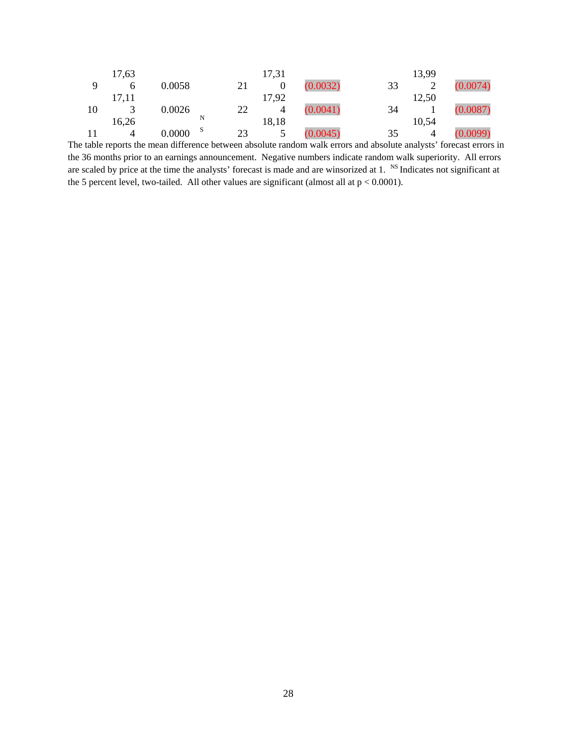|     | 17,63 |          |   |    | 17,31 |          |    | 13,99                |          |
|-----|-------|----------|---|----|-------|----------|----|----------------------|----------|
|     | h     | 0.0058   |   | 21 |       | (0.0032) | 33 |                      | (0.0074) |
|     | 17,11 |          |   |    | 17,92 |          |    | 12,50                |          |
| 10  |       | 0.0026   |   | 22 | 4     | (0.0041) | 34 |                      | (0.0087) |
|     | 16,26 |          | N |    | 18,18 |          |    | 10,54                |          |
|     | 4     | 0.0000   | S | 23 |       | (0.0045) | 35 |                      | (0.0099) |
| . . |       | $\cdots$ |   |    |       |          |    | $\sim$ $\sim$ $\sim$ |          |

The table reports the mean difference between absolute random walk errors and absolute analysts' forecast errors in the 36 months prior to an earnings announcement. Negative numbers indicate random walk superiority. All errors are scaled by price at the time the analysts' forecast is made and are winsorized at 1. <sup>NS</sup> Indicates not significant at the 5 percent level, two-tailed. All other values are significant (almost all at  $p < 0.0001$ ).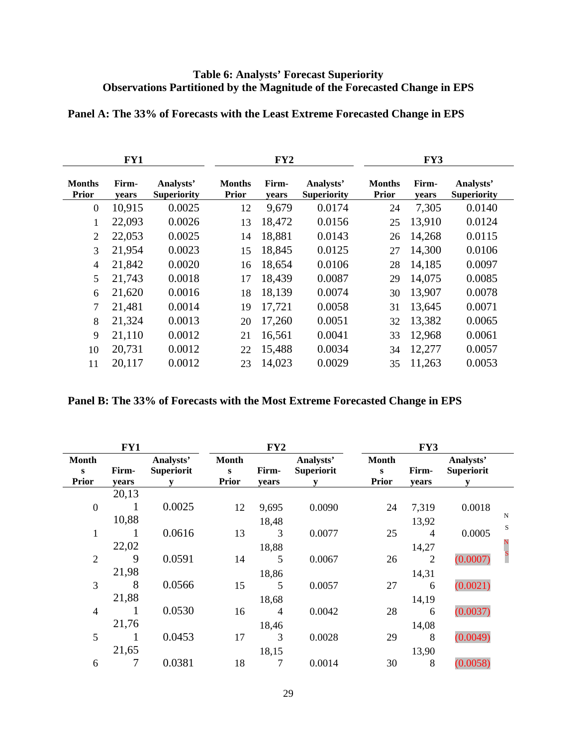# **Table 6: Analysts' Forecast Superiority Observations Partitioned by the Magnitude of the Forecasted Change in EPS**

|                               | FY1            |                                 |                               | FY2            |                                 | FY3                           |                |                                 |  |
|-------------------------------|----------------|---------------------------------|-------------------------------|----------------|---------------------------------|-------------------------------|----------------|---------------------------------|--|
| <b>Months</b><br><b>Prior</b> | Firm-<br>years | Analysts'<br><b>Superiority</b> | <b>Months</b><br><b>Prior</b> | Firm-<br>years | Analysts'<br><b>Superiority</b> | <b>Months</b><br><b>Prior</b> | Firm-<br>years | Analysts'<br><b>Superiority</b> |  |
| $\boldsymbol{0}$              | 10,915         | 0.0025                          | 12                            | 9,679          | 0.0174                          | 24                            | 7,305          | 0.0140                          |  |
|                               | 22,093         | 0.0026                          | 13                            | 18,472         | 0.0156                          | 25                            | 13,910         | 0.0124                          |  |
| $\overline{2}$                | 22,053         | 0.0025                          | 14                            | 18,881         | 0.0143                          | 26                            | 14,268         | 0.0115                          |  |
| 3                             | 21,954         | 0.0023                          | 15                            | 18,845         | 0.0125                          | 27                            | 14,300         | 0.0106                          |  |
| $\overline{4}$                | 21,842         | 0.0020                          | 16                            | 18,654         | 0.0106                          | 28                            | 14,185         | 0.0097                          |  |
| 5                             | 21,743         | 0.0018                          | 17                            | 18,439         | 0.0087                          | 29                            | 14,075         | 0.0085                          |  |
| 6                             | 21,620         | 0.0016                          | 18                            | 18,139         | 0.0074                          | 30                            | 13,907         | 0.0078                          |  |
| 7                             | 21,481         | 0.0014                          | 19                            | 17,721         | 0.0058                          | 31                            | 13,645         | 0.0071                          |  |
| 8                             | 21,324         | 0.0013                          | 20                            | 17,260         | 0.0051                          | 32                            | 13,382         | 0.0065                          |  |
| 9                             | 21,110         | 0.0012                          | 21                            | 16,561         | 0.0041                          | 33                            | 12,968         | 0.0061                          |  |
| 10                            | 20,731         | 0.0012                          | 22                            | 15,488         | 0.0034                          | 34                            | 12,277         | 0.0057                          |  |
| 11                            | 20,117         | 0.0012                          | 23                            | 14,023         | 0.0029                          | 35                            | 11,263         | 0.0053                          |  |

# **Panel A: The 33% of Forecasts with the Least Extreme Forecasted Change in EPS**

|  | Panel B: The 33% of Forecasts with the Most Extreme Forecasted Change in EPS |  |  |  |
|--|------------------------------------------------------------------------------|--|--|--|
|  |                                                                              |  |  |  |

|                                          | FY1            |                                |                                   | FY2            |                                | FY3                                          |                |                                |        |
|------------------------------------------|----------------|--------------------------------|-----------------------------------|----------------|--------------------------------|----------------------------------------------|----------------|--------------------------------|--------|
| <b>Month</b><br>$\bf{s}$<br><b>Prior</b> | Firm-<br>years | Analysts'<br><b>Superiorit</b> | <b>Month</b><br>S<br><b>Prior</b> | Firm-<br>years | Analysts'<br><b>Superiorit</b> | <b>Month</b><br>$\mathbf{s}$<br><b>Prior</b> | Firm-<br>years | Analysts'<br><b>Superiorit</b> |        |
|                                          | 20,13          |                                |                                   |                |                                |                                              |                |                                |        |
| $\boldsymbol{0}$                         |                | 0.0025                         | 12                                | 9,695          | 0.0090                         | 24                                           | 7,319          | 0.0018                         |        |
|                                          | 10,88          |                                |                                   | 18,48          |                                |                                              | 13,92          |                                | N<br>S |
| 1                                        |                | 0.0616                         | 13                                | 3              | 0.0077                         | 25                                           | 4              | 0.0005                         |        |
|                                          | 22,02          |                                |                                   | 18,88          |                                |                                              | 14,27          |                                |        |
| $\overline{2}$                           | 9              | 0.0591                         | 14                                | 5              | 0.0067                         | 26                                           | $\overline{2}$ | (0.0007)                       |        |
|                                          | 21,98          |                                |                                   | 18,86          |                                |                                              | 14,31          |                                |        |
| 3                                        | 8              | 0.0566                         | 15                                | 5              | 0.0057                         | 27                                           | 6              | (0.0021)                       |        |
|                                          | 21,88          |                                |                                   | 18,68          |                                |                                              | 14,19          |                                |        |
| $\overline{4}$                           |                | 0.0530                         | 16                                | 4              | 0.0042                         | 28                                           | 6              | (0.0037)                       |        |
|                                          | 21,76          |                                |                                   | 18,46          |                                |                                              | 14,08          |                                |        |
| 5                                        |                | 0.0453                         | 17                                | 3              | 0.0028                         | 29                                           | 8              | (0.0049)                       |        |
|                                          | 21,65          |                                |                                   | 18,15          |                                |                                              | 13,90          |                                |        |
| 6                                        |                | 0.0381                         | 18                                |                | 0.0014                         | 30                                           | 8              | (0.0058)                       |        |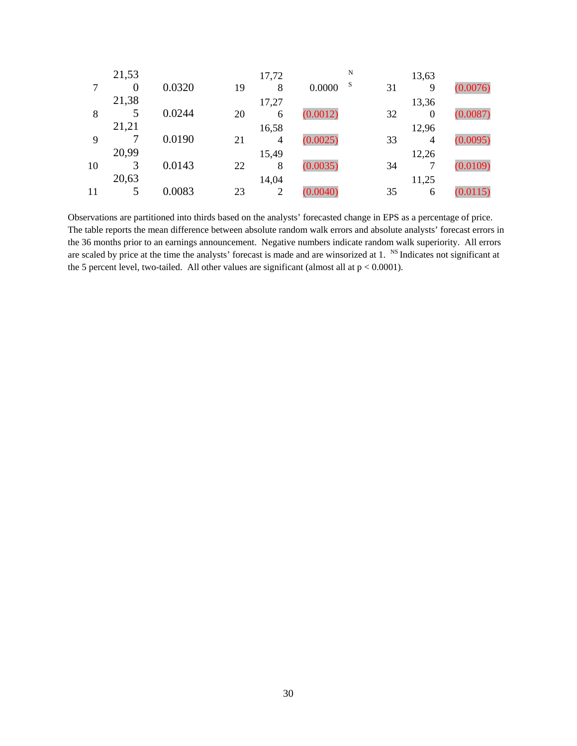|    | 21,53    |        |    | 17,72          | N           |    | 13,63            |          |
|----|----------|--------|----|----------------|-------------|----|------------------|----------|
|    | $\theta$ | 0.0320 | 19 | 8              | S<br>0.0000 | 31 | 9                | (0.0076) |
|    | 21,38    |        |    | 17,27          |             |    | 13,36            |          |
| 8  |          | 0.0244 | 20 | 6              | (0.0012)    | 32 | $\boldsymbol{0}$ | (0.0087) |
|    | 21,21    |        |    | 16,58          |             |    | 12,96            |          |
| 9  |          | 0.0190 | 21 | $\overline{4}$ | (0.0025)    | 33 | 4                | (0.0095) |
|    | 20,99    |        |    | 15,49          |             |    | 12,26            |          |
| 10 | 3        | 0.0143 | 22 | 8              | (0.0035)    | 34 |                  | (0.0109) |
|    | 20,63    |        |    | 14,04          |             |    | 11,25            |          |
| 11 |          | 0.0083 | 23 | 2              | (0.0040)    | 35 | 6                | (0.0115) |

Observations are partitioned into thirds based on the analysts' forecasted change in EPS as a percentage of price. The table reports the mean difference between absolute random walk errors and absolute analysts' forecast errors in the 36 months prior to an earnings announcement. Negative numbers indicate random walk superiority. All errors are scaled by price at the time the analysts' forecast is made and are winsorized at 1. <sup>NS</sup> Indicates not significant at the 5 percent level, two-tailed. All other values are significant (almost all at  $p < 0.0001$ ).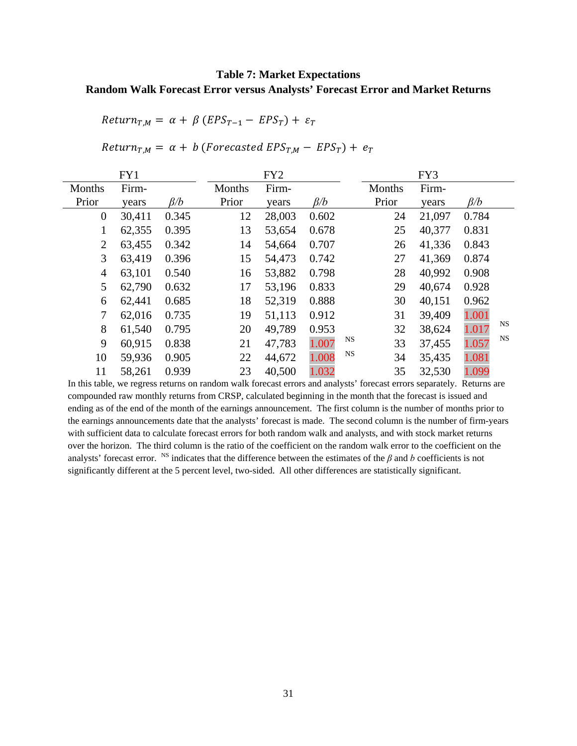# **Table 7: Market Expectations Random Walk Forecast Error versus Analysts' Forecast Error and Market Returns**

 $Return_{T,M} = \alpha + \beta (EPS_{T-1} - EPS_T) + \varepsilon_T$ 

 $Return_{T,M} = \alpha + b$  (Forecasted  $EPS_{T,M} - EPS_T$ ) +  $e_T$ 

|                | FY1    |           |        | FY <sub>2</sub> |           |                 | FY3    |           |           |
|----------------|--------|-----------|--------|-----------------|-----------|-----------------|--------|-----------|-----------|
| Months         | Firm-  |           | Months | Firm-           |           | Months          | Firm-  |           |           |
| Prior          | years  | $\beta/b$ | Prior  | years           | $\beta/b$ | Prior           | years  | $\beta/b$ |           |
| $\theta$       | 30,411 | 0.345     | 12     | 28,003          | 0.602     | 24              | 21,097 | 0.784     |           |
| 1              | 62,355 | 0.395     | 13     | 53,654          | 0.678     | 25              | 40,377 | 0.831     |           |
| 2              | 63,455 | 0.342     | 14     | 54,664          | 0.707     | 26              | 41,336 | 0.843     |           |
| 3              | 63,419 | 0.396     | 15     | 54,473          | 0.742     | 27              | 41,369 | 0.874     |           |
| $\overline{4}$ | 63,101 | 0.540     | 16     | 53,882          | 0.798     | 28              | 40,992 | 0.908     |           |
| 5              | 62,790 | 0.632     | 17     | 53,196          | 0.833     | 29              | 40,674 | 0.928     |           |
| 6              | 62,441 | 0.685     | 18     | 52,319          | 0.888     | 30              | 40,151 | 0.962     |           |
| 7              | 62,016 | 0.735     | 19     | 51,113          | 0.912     | 31              | 39,409 | 1.001     |           |
| 8              | 61,540 | 0.795     | 20     | 49,789          | 0.953     | 32              | 38,624 | 1.017     | <b>NS</b> |
| 9              | 60,915 | 0.838     | 21     | 47,783          | 1.007     | NS<br>33        | 37,455 | 1.057     | <b>NS</b> |
| 10             | 59,936 | 0.905     | 22     | 44,672          | 1.008     | <b>NS</b><br>34 | 35,435 | 1.081     |           |
| 11             | 58,261 | 0.939     | 23     | 40,500          | 1.032     | 35              | 32,530 | 1.099     |           |

In this table, we regress returns on random walk forecast errors and analysts' forecast errors separately. Returns are compounded raw monthly returns from CRSP, calculated beginning in the month that the forecast is issued and ending as of the end of the month of the earnings announcement. The first column is the number of months prior to the earnings announcements date that the analysts' forecast is made. The second column is the number of firm-years with sufficient data to calculate forecast errors for both random walk and analysts, and with stock market returns over the horizon. The third column is the ratio of the coefficient on the random walk error to the coefficient on the analysts' forecast error. <sup>NS</sup> indicates that the difference between the estimates of the  $\beta$  and  $b$  coefficients is not significantly different at the 5 percent level, two-sided. All other differences are statistically significant.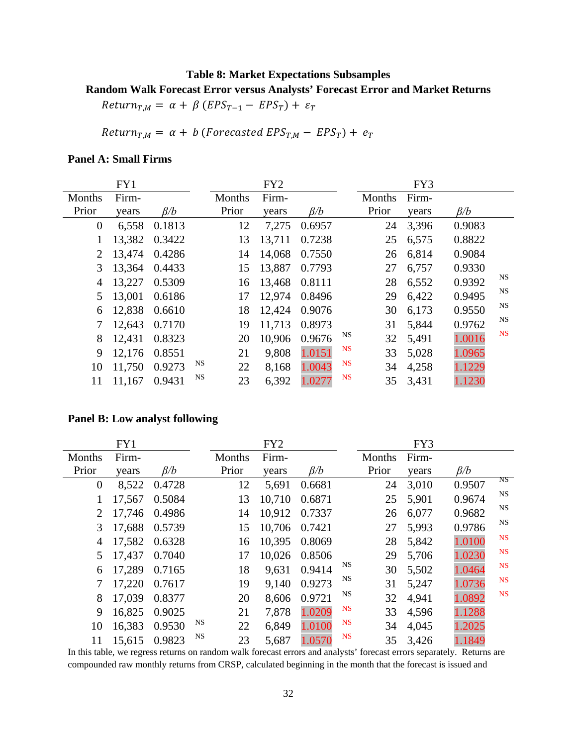## **Table 8: Market Expectations Subsamples**

#### **Random Walk Forecast Error versus Analysts' Forecast Error and Market Returns**

 $Return_{T,M} = \alpha + \beta (EPS_{T-1} - ESPS_T) + \varepsilon_T$ 

Return<sub>T,M</sub> =  $\alpha$  + b (Forecasted EPS<sub>T,M</sub> – EPS<sub>T</sub>) +  $e_T$ 

## **Panel A: Small Firms**

|                  | FY1    |           |    |        | FY <sub>2</sub> |           |           |        | FY3   |           |           |
|------------------|--------|-----------|----|--------|-----------------|-----------|-----------|--------|-------|-----------|-----------|
| Months           | Firm-  |           |    | Months | Firm-           |           |           | Months | Firm- |           |           |
| Prior            | years  | $\beta/b$ |    | Prior  | vears           | $\beta/b$ |           | Prior  | years | $\beta/b$ |           |
| $\boldsymbol{0}$ | 6,558  | 0.1813    |    | 12     | 7,275           | 0.6957    |           | 24     | 3,396 | 0.9083    |           |
| 1                | 13,382 | 0.3422    |    | 13     | 13,711          | 0.7238    |           | 25     | 6,575 | 0.8822    |           |
| $\overline{2}$   | 13,474 | 0.4286    |    | 14     | 14,068          | 0.7550    |           | 26     | 6,814 | 0.9084    |           |
| 3                | 13,364 | 0.4433    |    | 15     | 13,887          | 0.7793    |           | 27     | 6,757 | 0.9330    |           |
| 4                | 13,227 | 0.5309    |    | 16     | 13,468          | 0.8111    |           | 28     | 6,552 | 0.9392    | NS        |
| 5                | 13,001 | 0.6186    |    | 17     | 12,974          | 0.8496    |           | 29     | 6,422 | 0.9495    | NS        |
| 6                | 12,838 | 0.6610    |    | 18     | 12,424          | 0.9076    |           | 30     | 6,173 | 0.9550    | NS        |
| 7                | 12,643 | 0.7170    |    | 19     | 11,713          | 0.8973    |           | 31     | 5,844 | 0.9762    | NS        |
| 8                | 12,431 | 0.8323    |    | 20     | 10,906          | 0.9676    | <b>NS</b> | 32     | 5,491 | 1.0016    | <b>NS</b> |
| 9                | 12,176 | 0.8551    |    | 21     | 9,808           | 1.0151    | <b>NS</b> | 33     | 5,028 | 1.0965    |           |
| 10               | 11,750 | 0.9273    | NS | 22     | 8,168           | 1.0043    | <b>NS</b> | 34     | 4,258 | 1.1229    |           |
| 11               | 11,167 | 0.9431    | NS | 23     | 6,392           | 1.0277    | <b>NS</b> | 35     | 3,431 | 1.1230    |           |

#### **Panel B: Low analyst following**

|                  | FY1    |           |    |        | FY <sub>2</sub> |           |           |        | FY3   |           |           |
|------------------|--------|-----------|----|--------|-----------------|-----------|-----------|--------|-------|-----------|-----------|
| Months           | Firm-  |           |    | Months | Firm-           |           |           | Months | Firm- |           |           |
| Prior            | years  | $\beta/b$ |    | Prior  | years           | $\beta/b$ |           | Prior  | years | $\beta/b$ |           |
| $\boldsymbol{0}$ | 8,522  | 0.4728    |    | 12     | 5,691           | 0.6681    |           | 24     | 3,010 | 0.9507    | NS        |
|                  | 17,567 | 0.5084    |    | 13     | 10,710          | 0.6871    |           | 25     | 5,901 | 0.9674    | <b>NS</b> |
| 2                | 17,746 | 0.4986    |    | 14     | 10,912          | 0.7337    |           | 26     | 6,077 | 0.9682    | NS        |
| 3                | 17,688 | 0.5739    |    | 15     | 10,706          | 0.7421    |           | 27     | 5,993 | 0.9786    | NS        |
| 4                | 17,582 | 0.6328    |    | 16     | 10,395          | 0.8069    |           | 28     | 5,842 | 1.0100    | <b>NS</b> |
| 5                | 17,437 | 0.7040    |    | 17     | 10,026          | 0.8506    |           | 29     | 5,706 | 1.0230    | <b>NS</b> |
| 6                | 17,289 | 0.7165    |    | 18     | 9,631           | 0.9414    | NS        | 30     | 5,502 | 1.0464    | NS        |
| 7                | 17,220 | 0.7617    |    | 19     | 9,140           | 0.9273    | NS        | 31     | 5,247 | 1.0736    | <b>NS</b> |
| 8                | 17,039 | 0.8377    |    | 20     | 8,606           | 0.9721    | NS        | 32     | 4,941 | 1.0892    | <b>NS</b> |
| 9                | 16,825 | 0.9025    |    | 21     | 7,878           | 1.0209    | <b>NS</b> | 33     | 4,596 | 1.1288    |           |
| 10               | 16,383 | 0.9530    | NS | 22     | 6,849           | 1.0100    | <b>NS</b> | 34     | 4,045 | 1.2025    |           |
| 11               | 15,615 | 0.9823    | NS | 23     | 5,687           | 1.0570    | <b>NS</b> | 35     | 3,426 | 1.1849    |           |

In this table, we regress returns on random walk forecast errors and analysts' forecast errors separately. Returns are compounded raw monthly returns from CRSP, calculated beginning in the month that the forecast is issued and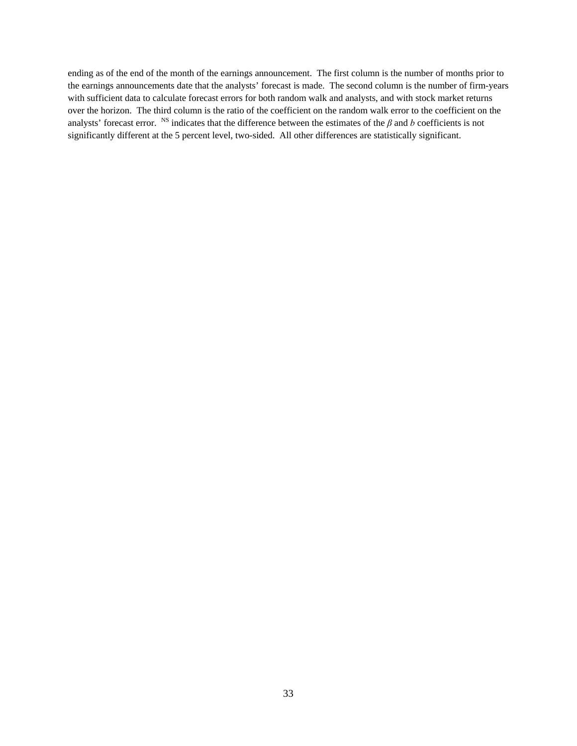ending as of the end of the month of the earnings announcement. The first column is the number of months prior to the earnings announcements date that the analysts' forecast is made. The second column is the number of firm-years with sufficient data to calculate forecast errors for both random walk and analysts, and with stock market returns over the horizon. The third column is the ratio of the coefficient on the random walk error to the coefficient on the analysts' forecast error. <sup>NS</sup> indicates that the difference between the estimates of the  $\beta$  and  $b$  coefficients is not significantly different at the 5 percent level, two-sided. All other differences are statistically significant.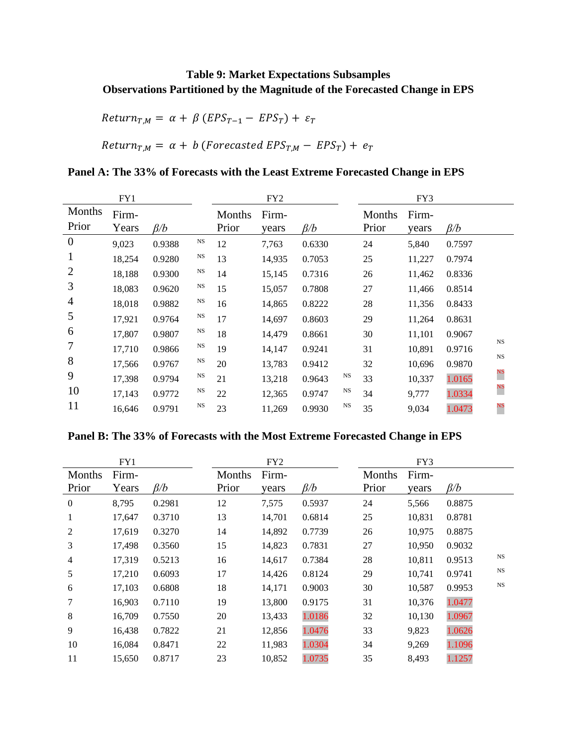# **Table 9: Market Expectations Subsamples Observations Partitioned by the Magnitude of the Forecasted Change in EPS**

 $Return_{T,M} = \alpha + \beta (EPS_{T-1} - ESPS_T) + \varepsilon_T$ 

 $Return_{T,M} = \alpha + b$  (Forecasted  $EPS_{T,M} - EPS_T$ ) +  $e_T$ 

# **Panel A: The 33% of Forecasts with the Least Extreme Forecasted Change in EPS**

|                 | FY1            |           |             | FY <sub>2</sub> |                |           |           | FY3             |                |           |             |  |
|-----------------|----------------|-----------|-------------|-----------------|----------------|-----------|-----------|-----------------|----------------|-----------|-------------|--|
| Months<br>Prior | Firm-<br>Years | $\beta/b$ |             | Months<br>Prior | Firm-<br>years | $\beta/b$ |           | Months<br>Prior | Firm-<br>vears | $\beta/b$ |             |  |
| $\overline{0}$  | 9,023          | 0.9388    | $_{\rm NS}$ | 12              | 7,763          | 0.6330    |           | 24              | 5,840          | 0.7597    |             |  |
| $\mathbf 1$     | 18,254         | 0.9280    | $_{\rm NS}$ | 13              | 14,935         | 0.7053    |           | 25              | 11,227         | 0.7974    |             |  |
| 2               | 18,188         | 0.9300    | $_{\rm NS}$ | 14              | 15,145         | 0.7316    |           | 26              | 11,462         | 0.8336    |             |  |
| 3               | 18,083         | 0.9620    | NS          | 15              | 15,057         | 0.7808    |           | 27              | 11,466         | 0.8514    |             |  |
| $\overline{4}$  | 18,018         | 0.9882    | $_{\rm NS}$ | 16              | 14,865         | 0.8222    |           | 28              | 11,356         | 0.8433    |             |  |
| 5               | 17,921         | 0.9764    | NS          | 17              | 14,697         | 0.8603    |           | 29              | 11,264         | 0.8631    |             |  |
| 6               | 17,807         | 0.9807    | <b>NS</b>   | 18              | 14,479         | 0.8661    |           | 30              | 11,101         | 0.9067    | $_{\rm NS}$ |  |
| 7               | 17,710         | 0.9866    | <b>NS</b>   | 19              | 14,147         | 0.9241    |           | 31              | 10,891         | 0.9716    |             |  |
| 8               | 17,566         | 0.9767    | <b>NS</b>   | 20              | 13,783         | 0.9412    |           | 32              | 10,696         | 0.9870    | <b>NS</b>   |  |
| 9               | 17,398         | 0.9794    | NS          | 21              | 13,218         | 0.9643    | <b>NS</b> | 33              | 10,337         | 1.0165    | NS          |  |
| 10              | 17,143         | 0.9772    | NS          | 22              | 12,365         | 0.9747    | NS        | 34              | 9,777          | 1.0334    | NS          |  |
| 11              | 16,646         | 0.9791    | $_{\rm NS}$ | 23              | 11,269         | 0.9930    | <b>NS</b> | 35              | 9,034          | 1.0473    | $_{\rm NS}$ |  |

# **Panel B: The 33% of Forecasts with the Most Extreme Forecasted Change in EPS**

|                  | FY1    |           |        | FY <sub>2</sub> |           |        | FY3    |           |             |
|------------------|--------|-----------|--------|-----------------|-----------|--------|--------|-----------|-------------|
| Months           | Firm-  |           | Months | Firm-           |           | Months | Firm-  |           |             |
| Prior            | Years  | $\beta/b$ | Prior  | years           | $\beta/b$ | Prior  | years  | $\beta/b$ |             |
| $\boldsymbol{0}$ | 8,795  | 0.2981    | 12     | 7,575           | 0.5937    | 24     | 5,566  | 0.8875    |             |
| 1                | 17,647 | 0.3710    | 13     | 14,701          | 0.6814    | 25     | 10,831 | 0.8781    |             |
| 2                | 17,619 | 0.3270    | 14     | 14,892          | 0.7739    | 26     | 10,975 | 0.8875    |             |
| 3                | 17,498 | 0.3560    | 15     | 14,823          | 0.7831    | 27     | 10,950 | 0.9032    |             |
| 4                | 17,319 | 0.5213    | 16     | 14,617          | 0.7384    | 28     | 10,811 | 0.9513    | $_{\rm NS}$ |
| 5                | 17,210 | 0.6093    | 17     | 14,426          | 0.8124    | 29     | 10,741 | 0.9741    | $_{\rm NS}$ |
| 6                | 17,103 | 0.6808    | 18     | 14,171          | 0.9003    | 30     | 10,587 | 0.9953    | $_{\rm NS}$ |
| 7                | 16,903 | 0.7110    | 19     | 13,800          | 0.9175    | 31     | 10,376 | 1.0477    |             |
| 8                | 16,709 | 0.7550    | 20     | 13,433          | 1.0186    | 32     | 10,130 | 1.0967    |             |
| 9                | 16,438 | 0.7822    | 21     | 12,856          | 1.0476    | 33     | 9,823  | 1.0626    |             |
| 10               | 16,084 | 0.8471    | 22     | 11,983          | 1.0304    | 34     | 9,269  | 1.1096    |             |
| 11               | 15,650 | 0.8717    | 23     | 10,852          | 1.0735    | 35     | 8,493  | 1.1257    |             |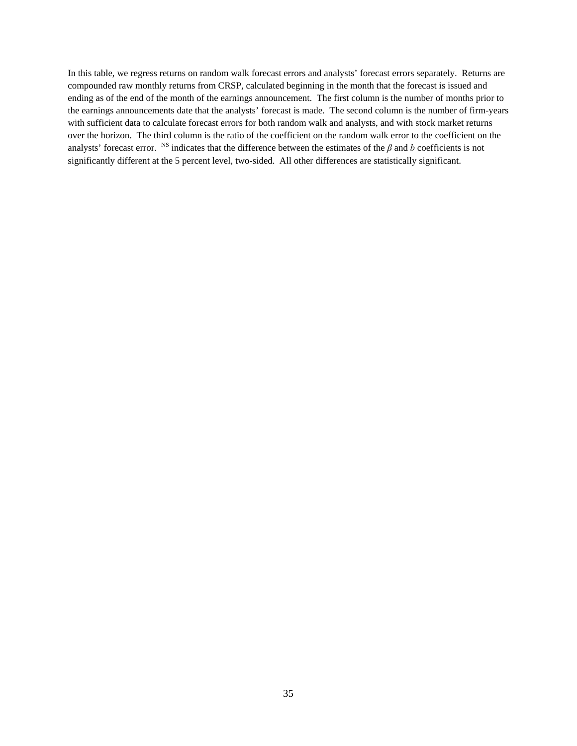In this table, we regress returns on random walk forecast errors and analysts' forecast errors separately. Returns are compounded raw monthly returns from CRSP, calculated beginning in the month that the forecast is issued and ending as of the end of the month of the earnings announcement. The first column is the number of months prior to the earnings announcements date that the analysts' forecast is made. The second column is the number of firm-years with sufficient data to calculate forecast errors for both random walk and analysts, and with stock market returns over the horizon. The third column is the ratio of the coefficient on the random walk error to the coefficient on the analysts' forecast error. <sup>NS</sup> indicates that the difference between the estimates of the  $\beta$  and  $b$  coefficients is not significantly different at the 5 percent level, two-sided. All other differences are statistically significant.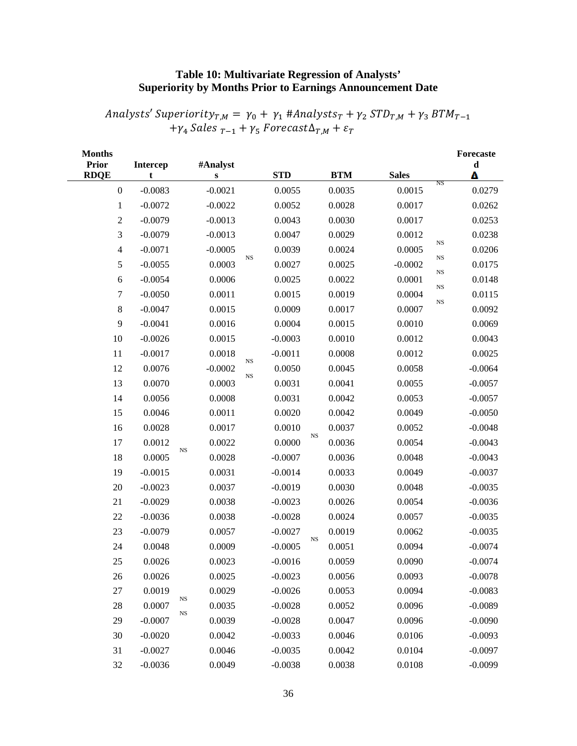# **Table 10: Multivariate Regression of Analysts' Superiority by Months Prior to Earnings Announcement Date**

Analysts' Superiority<sub>T,M</sub> =  $\gamma_0 + \gamma_1$  #Analysts<sub>T</sub> +  $\gamma_2$  STD<sub>T,M</sub> +  $\gamma_3$  BTM<sub>T-1</sub>  $+ \gamma_4$  Sales  $_{T-1} + \gamma_5$  Forecast $\Delta_{T,M} + \varepsilon_T$ 

| <b>Months</b><br><b>Prior</b><br><b>RDQE</b> | <b>Intercep</b><br>t. |    | #Analyst<br>S |             | <b>STD</b> |             | <b>BTM</b> | <b>Sales</b> |             | Forecaste<br>$\mathbf d$<br>Δ |
|----------------------------------------------|-----------------------|----|---------------|-------------|------------|-------------|------------|--------------|-------------|-------------------------------|
| $\boldsymbol{0}$                             | $-0.0083$             |    | $-0.0021$     |             | 0.0055     |             | 0.0035     | 0.0015       | NS          | 0.0279                        |
| $\mathbf{1}$                                 | $-0.0072$             |    | $-0.0022$     |             | 0.0052     |             | 0.0028     | 0.0017       |             | 0.0262                        |
| $\overline{2}$                               | $-0.0079$             |    | $-0.0013$     |             | 0.0043     |             | 0.0030     | 0.0017       |             | 0.0253                        |
| 3                                            | $-0.0079$             |    | $-0.0013$     |             | 0.0047     |             | 0.0029     | 0.0012       |             | 0.0238                        |
| $\overline{4}$                               | $-0.0071$             |    | $-0.0005$     |             | 0.0039     |             | 0.0024     | 0.0005       | <b>NS</b>   | 0.0206                        |
| 5                                            | $-0.0055$             |    | 0.0003        | $_{\rm NS}$ | 0.0027     |             | 0.0025     | $-0.0002$    | $_{\rm NS}$ | 0.0175                        |
| 6                                            | $-0.0054$             |    | 0.0006        |             | 0.0025     |             | 0.0022     | 0.0001       | NS          | 0.0148                        |
| $\boldsymbol{7}$                             | $-0.0050$             |    | 0.0011        |             | 0.0015     |             | 0.0019     | 0.0004       | <b>NS</b>   | 0.0115                        |
| $8\,$                                        | $-0.0047$             |    | 0.0015        |             | 0.0009     |             | 0.0017     | 0.0007       | $_{\rm NS}$ | 0.0092                        |
| 9                                            | $-0.0041$             |    | 0.0016        |             | 0.0004     |             | 0.0015     | 0.0010       |             | 0.0069                        |
| $10\,$                                       | $-0.0026$             |    | 0.0015        |             | $-0.0003$  |             | 0.0010     | 0.0012       |             | 0.0043                        |
| $11\,$                                       | $-0.0017$             |    | 0.0018        |             | $-0.0011$  |             | 0.0008     | 0.0012       |             | 0.0025                        |
| 12                                           | 0.0076                |    | $-0.0002$     | $_{\rm NS}$ | 0.0050     |             | 0.0045     | 0.0058       |             | $-0.0064$                     |
| 13                                           | 0.0070                |    | 0.0003        | <b>NS</b>   | 0.0031     |             | 0.0041     | 0.0055       |             | $-0.0057$                     |
| 14                                           | 0.0056                |    | 0.0008        |             | 0.0031     |             | 0.0042     | 0.0053       |             | $-0.0057$                     |
| 15                                           | 0.0046                |    | 0.0011        |             | 0.0020     |             | 0.0042     | 0.0049       |             | $-0.0050$                     |
| 16                                           | 0.0028                |    | 0.0017        |             | 0.0010     |             | 0.0037     | 0.0052       |             | $-0.0048$                     |
| 17                                           | 0.0012                |    | 0.0022        |             | 0.0000     | $_{\rm NS}$ | 0.0036     | 0.0054       |             | $-0.0043$                     |
| 18                                           | 0.0005                | NS | 0.0028        |             | $-0.0007$  |             | 0.0036     | 0.0048       |             | $-0.0043$                     |
| 19                                           | $-0.0015$             |    | 0.0031        |             | $-0.0014$  |             | 0.0033     | 0.0049       |             | $-0.0037$                     |
| $20\,$                                       | $-0.0023$             |    | 0.0037        |             | $-0.0019$  |             | 0.0030     | 0.0048       |             | $-0.0035$                     |
| 21                                           | $-0.0029$             |    | 0.0038        |             | $-0.0023$  |             | 0.0026     | 0.0054       |             | $-0.0036$                     |
| 22                                           | $-0.0036$             |    | 0.0038        |             | $-0.0028$  |             | 0.0024     | 0.0057       |             | $-0.0035$                     |
| 23                                           | $-0.0079$             |    | 0.0057        |             | $-0.0027$  | $_{\rm NS}$ | 0.0019     | 0.0062       |             | $-0.0035$                     |
| 24                                           | 0.0048                |    | 0.0009        |             | $-0.0005$  |             | 0.0051     | 0.0094       |             | $-0.0074$                     |
| 25                                           | 0.0026                |    | 0.0023        |             | $-0.0016$  |             | 0.0059     | 0.0090       |             | $-0.0074$                     |
| 26                                           | 0.0026                |    | 0.0025        |             | $-0.0023$  |             | 0.0056     | 0.0093       |             | $-0.0078$                     |
| $27\,$                                       | 0.0019                | NS | 0.0029        |             | $-0.0026$  |             | 0.0053     | 0.0094       |             | $-0.0083$                     |
| $28\,$                                       | 0.0007                | NS | 0.0035        |             | $-0.0028$  |             | 0.0052     | 0.0096       |             | $-0.0089$                     |
| 29                                           | $-0.0007$             |    | 0.0039        |             | $-0.0028$  |             | 0.0047     | 0.0096       |             | $-0.0090$                     |
| 30                                           | $-0.0020$             |    | 0.0042        |             | $-0.0033$  |             | 0.0046     | 0.0106       |             | $-0.0093$                     |
| 31                                           | $-0.0027$             |    | 0.0046        |             | $-0.0035$  |             | 0.0042     | 0.0104       |             | $-0.0097$                     |
| 32                                           | $-0.0036$             |    | 0.0049        |             | $-0.0038$  |             | 0.0038     | 0.0108       |             | $-0.0099$                     |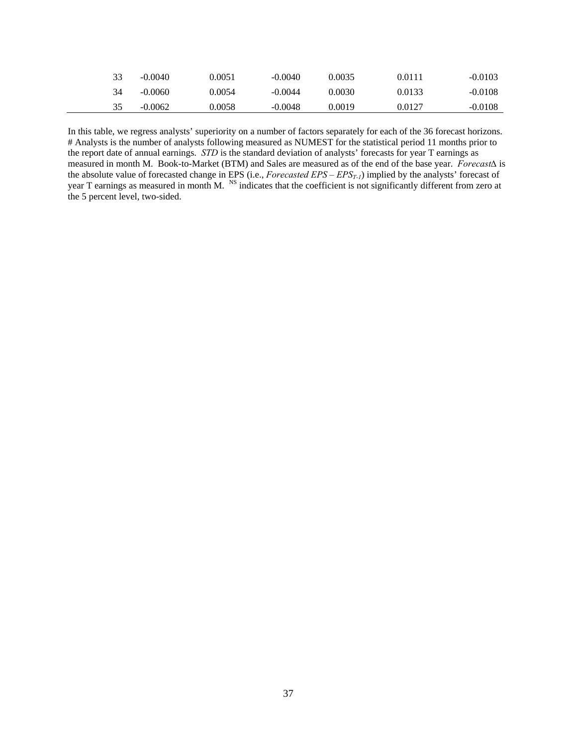| 33 | $-0.0040$ | 0.0051 | $-0.0040$ | 0.0035 | 0.0111 | $-0.0103$ |
|----|-----------|--------|-----------|--------|--------|-----------|
| 34 | $-0.0060$ | 0.0054 | $-0.0044$ | 0.0030 | 0.0133 | $-0.0108$ |
| 35 | $-0.0062$ | 0.0058 | $-0.0048$ | 0.0019 | 0.0127 | $-0.0108$ |

In this table, we regress analysts' superiority on a number of factors separately for each of the 36 forecast horizons. # Analysts is the number of analysts following measured as NUMEST for the statistical period 11 months prior to the report date of annual earnings. *STD* is the standard deviation of analysts' forecasts for year T earnings as measured in month M. Book-to-Market (BTM) and Sales are measured as of the end of the base year. *Forecast∆* is the absolute value of forecasted change in EPS (i.e., *Forecasted EPS – EPS<sub>T-1</sub>*) implied by the analysts' forecast of year T earnings as measured in month M. <sup>NS</sup> indicates that the coefficient is not significantly different from zero at the 5 percent level, two-sided.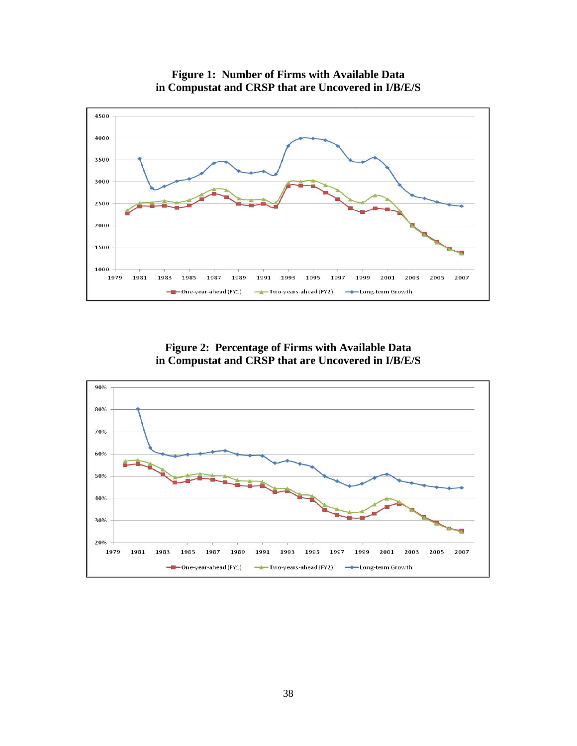

**Figure 1: Number of Firms with Available Data in Compustat and CRSP that are Uncovered in I/B/E/S**